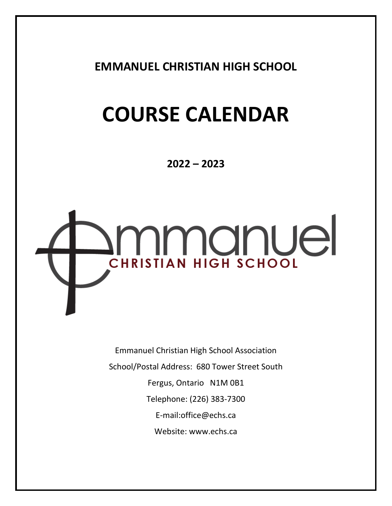**EMMANUEL CHRISTIAN HIGH SCHOOL**

# **COURSE CALENDAR**

**2022 – 2023**



Emmanuel Christian High School Association School/Postal Address: 680 Tower Street South Fergus, Ontario N1M 0B1 Telephone: (226) 383-7300 E-mail:office@echs.ca Website: [www.echs.ca](http://www.echs.ca/)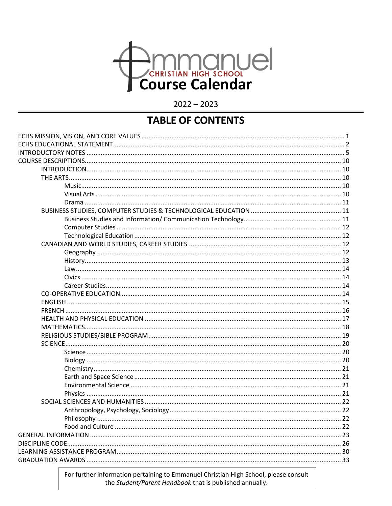

 $2022 - 2023$ 

# **TABLE OF CONTENTS**

For further information pertaining to Emmanuel Christian High School, please consult the Student/Parent Handbook that is published annually.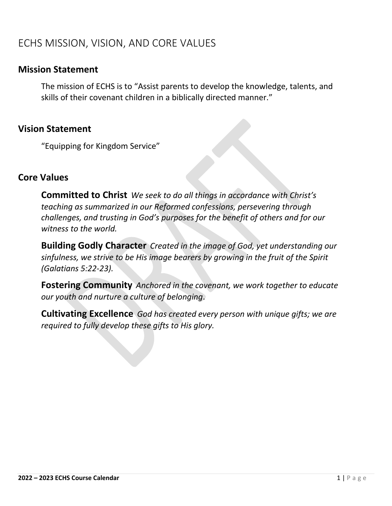# <span id="page-2-0"></span>ECHS MISSION, VISION, AND CORE VALUES

# **Mission Statement**

The mission of ECHS is to "Assist parents to develop the knowledge, talents, and skills of their covenant children in a biblically directed manner."

# **Vision Statement**

"Equipping for Kingdom Service"

# **Core Values**

**Committed to Christ** *We seek to do all things in accordance with Christ's teaching as summarized in our Reformed confessions, persevering through challenges, and trusting in God's purposes for the benefit of others and for our witness to the world.*

**Building Godly Character** *Created in the image of God, yet understanding our sinfulness, we strive to be His image bearers by growing in the fruit of the Spirit (Galatians 5:22-23).*

**Fostering Community** *Anchored in the covenant, we work together to educate our youth and nurture a culture of belonging*.

**Cultivating Excellence** *God has created every person with unique gifts; we are required to fully develop these gifts to His glory.*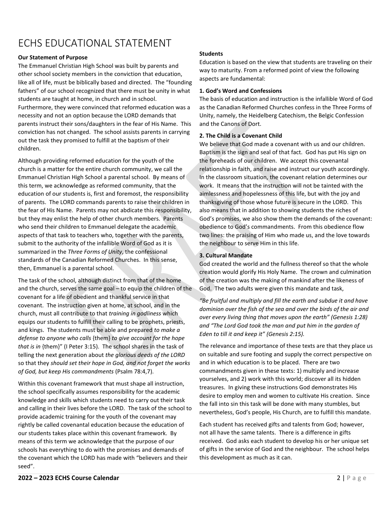# <span id="page-3-0"></span>ECHS EDUCATIONAL STATEMENT

#### **Our Statement of Purpose**

The Emmanuel Christian High School was built by parents and other school society members in the conviction that education, like all of life, must be biblically based and directed. The "founding fathers" of our school recognized that there must be unity in what students are taught at home, in church and in school. Furthermore, they were convinced that reformed education was a necessity and not an option because the LORD demands that parents instruct their sons/daughters in the fear of His Name. This conviction has not changed. The school assists parents in carrying out the task they promised to fulfill at the baptism of their children.

Although providing reformed education for the youth of the church is a matter for the entire church community, we call the Emmanuel Christian High School a parental school. By means of this term, we acknowledge as reformed community, that the education of our students is, first and foremost, the responsibility of parents. The LORD commands parents to raise their children in the fear of His Name. Parents may not abdicate this responsibility, but they may enlist the help of other church members. Parents who send their children to Emmanuel delegate the academic aspects of that task to teachers who, together with the parents, submit to the authority of the infallible Word of God as it is summarized in the *Three Forms of Unity*, the confessional standards of the Canadian Reformed Churches. In this sense, then, Emmanuel is a parental school.

The task of the school, although distinct from that of the home and the church, serves the same goal – to equip the children of the covenant for a life of obedient and thankful service in that covenant. The instruction given at home, at school, and in the church, must all contribute to that *training in godliness* which equips our students to fulfill their calling to be prophets, priests, and kings. The students must be able and prepared *to make a defense to anyone who calls* {them} *to give account for the hope that is in* {them}" (I Peter 3:15). The school shares in the task of telling the next generation about *the glorious deeds of the LORD*  so that they *should set their hope in God, and not forget the works of God, but keep His commandments* (Psalm 78:4,7).

Within this covenant framework that must shape all instruction, the school specifically assumes responsibility for the academic knowledge and skills which students need to carry out their task and calling in their lives before the LORD. The task of the school to provide academic training for the youth of the covenant may rightly be called covenantal education because the education of our students takes place within this covenant framework. By means of this term we acknowledge that the purpose of our schools has everything to do with the promises and demands of the covenant which the LORD has made with "believers and their seed".

Education is based on the view that students are traveling on their way to maturity. From a reformed point of view the following aspects are fundamental:

#### **1. God's Word and Confessions**

The basis of education and instruction is the infallible Word of God as the Canadian Reformed Churches confess in the Three Forms of Unity, namely, the Heidelberg Catechism, the Belgic Confession and the Canons of Dort.

#### **2. The Child is a Covenant Child**

We believe that God made a covenant with us and our children. Baptism is the sign and seal of that fact. God has put His sign on the foreheads of our children. We accept this covenantal relationship in faith, and raise and instruct our youth accordingly. In the classroom situation, the covenant relation determines our work. It means that the instruction will not be tainted with the aimlessness and hopelessness of this life, but with the joy and thanksgiving of those whose future is secure in the LORD. This also means that in addition to showing students the riches of God's promises, we also show them the demands of the covenant: obedience to God's commandments. From this obedience flow two lines: the praising of Him who made us, and the love towards the neighbour to serve Him in this life.

#### **3. Cultural Mandate**

God created the world and the fullness thereof so that the whole creation would glorify His Holy Name. The crown and culmination of the creation was the making of mankind after the likeness of God. The two adults were given this mandate and task,

*"Be fruitful and multiply and fill the earth and subdue it and have dominion over the fish of the sea and over the birds of the air and over every living thing that moves upon the earth" (Genesis 1:28) and "The Lord God took the man and put him in the garden of Eden to till it and keep it" (Genesis 2:15).*

The relevance and importance of these texts are that they place us on suitable and sure footing and supply the correct perspective on and in which education is to be placed. There are two commandments given in these texts: 1) multiply and increase yourselves, and 2) work with this world; discover all its hidden treasures. In giving these instructions God demonstrates His desire to employ men and women to cultivate His creation. Since the fall into sin this task will be done with many stumbles, but nevertheless, God's people, His Church, are to fulfill this mandate.

Each student has received gifts and talents from God; however, not all have the same talents. There is a difference in gifts received. God asks each student to develop his or her unique set of gifts in the service of God and the neighbour. The school helps this development as much as it can.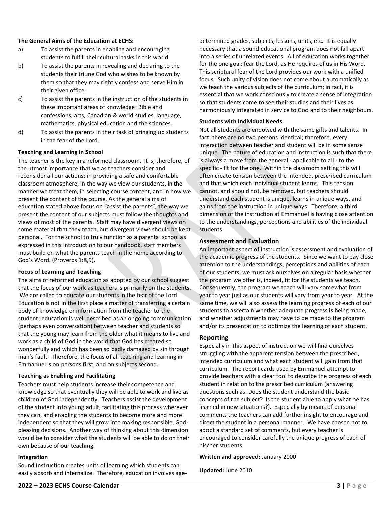#### **The General Aims of the Education at ECHS:**

- a) To assist the parents in enabling and encouraging students to fulfill their cultural tasks in this world.
- b) To assist the parents in revealing and declaring to the students their triune God who wishes to be known by them so that they may rightly confess and serve Him in their given office.
- c) To assist the parents in the instruction of the students in these important areas of knowledge: Bible and confessions, arts, Canadian & world studies, language, mathematics, physical education and the sciences.
- d) To assist the parents in their task of bringing up students in the fear of the Lord.

#### **Teaching and Learning in School**

The teacher is the key in a reformed classroom. It is, therefore, of the utmost importance that we as teachers consider and reconsider all our actions: in providing a safe and comfortable classroom atmosphere, in the way we view our students, in the manner we treat them, in selecting course content, and in how we present the content of the course. As the general aims of education stated above focus on "assist the parents", the way we present the content of our subjects must follow the thoughts and views of most of the parents. Staff may have divergent views on some material that they teach, but divergent views should be kept personal. For the school to truly function as a parental school as expressed in this introduction to our handbook, staff members must build on what the parents teach in the home according to God's Word. (Proverbs 1:8,9).

#### **Focus of Learning and Teaching**

The aims of reformed education as adopted by our school suggest that the focus of our work as teachers is primarily on the students. We are called to educate our students in the fear of the Lord. Education is not in the first place a matter of transferring a certain body of knowledge or information from the teacher to the student; education is well described as an ongoing communication (perhaps even conversation) between teacher and students so that the young may learn from the older what it means to live and work as a child of God in the world that God has created so wonderfully and which has been so badly damaged by sin through man's fault. Therefore, the focus of all teaching and learning in Emmanuel is on persons first, and on subjects second.

#### **Teaching as Enabling and Facilitating**

Teachers must help students increase their competence and knowledge so that eventually they will be able to work and live as children of God independently. Teachers assist the development of the student into young adult, facilitating this process wherever they can, and enabling the students to become more and more independent so that they will grow into making responsible, Godpleasing decisions. Another way of thinking about this dimension would be to consider what the students will be able to do on their own because of our teaching.

#### **Integration**

Sound instruction creates units of learning which students can easily absorb and internalize. Therefore, education involves age-

determined grades, subjects, lessons, units, etc. It is equally necessary that a sound educational program does not fall apart into a series of unrelated events. All of education works together for the one goal: fear the Lord, as He requires of us in His Word. This scriptural fear of the Lord provides our work with a unified focus. Such unity of vision does not come about automatically as we teach the various subjects of the curriculum; in fact, it is essential that we work consciously to create a sense of integration so that students come to see their studies and their lives as harmoniously integrated in service to God and to their neighbours.

#### **Students with Individual Needs**

Not all students are endowed with the same gifts and talents. In fact, there are no two persons identical; therefore, every interaction between teacher and student will be in some sense unique. The nature of education and instruction is such that there is always a move from the general - applicable to all - to the specific - fit for the one. Within the classroom setting this will often create tension between the intended, prescribed curriculum and that which each individual student learns. This tension cannot, and should not, be removed, but teachers should understand each student is unique, learns in unique ways, and gains from the instruction in unique ways. Therefore, a third dimension of the instruction at Emmanuel is having close attention to the understandings, perceptions and abilities of the individual students.

#### **Assessment and Evaluation**

An important aspect of instruction is assessment and evaluation of the academic progress of the students. Since we want to pay close attention to the understandings, perceptions and abilities of each of our students, we must ask ourselves on a regular basis whether the program we offer is, indeed, fit for the students we teach. Consequently, the program we teach will vary somewhat from year to year just as our students will vary from year to year. At the same time, we will also assess the learning progress of each of our students to ascertain whether adequate progress is being made, and whether adjustments may have to be made to the program and/or its presentation to optimize the learning of each student.

#### **Reporting**

Especially in this aspect of instruction we will find ourselves struggling with the apparent tension between the prescribed, intended curriculum and what each student will gain from that curriculum. The report cards used by Emmanuel attempt to provide teachers with a clear tool to describe the progress of each student in relation to the prescribed curriculum (answering questions such as: Does the student understand the basic concepts of the subject? Is the student able to apply what he has learned in new situations?). Especially by means of personal comments the teachers can add further insight to encourage and direct the student in a personal manner. We have chosen not to adopt a standard set of comments, but every teacher is encouraged to consider carefully the unique progress of each of his/her students.

#### **Written and approved:** January 2000

**Updated:** June 2010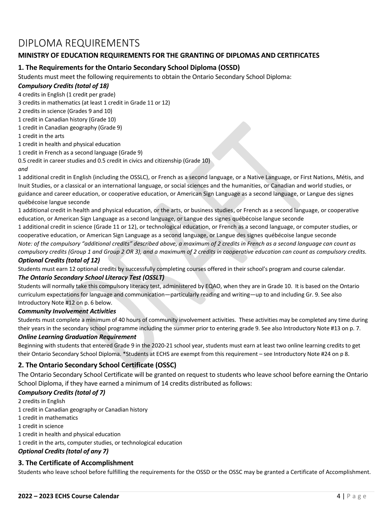# DIPLOMA REQUIREMENTS

### **MINISTRY OF EDUCATION REQUIREMENTS FOR THE GRANTING OF DIPLOMAS AND CERTIFICATES**

### **1. The Requirements for the Ontario Secondary School Diploma (OSSD)**

Students must meet the following requirements to obtain the Ontario Secondary School Diploma:

### *Compulsory Credits (total of 18)*

4 credits in English (1 credit per grade)

3 credits in mathematics (at least 1 credit in Grade 11 or 12)

2 credits in science (Grades 9 and 10)

1 credit in Canadian history (Grade 10)

1 credit in Canadian geography (Grade 9)

1 credit in the arts

1 credit in health and physical education

1 credit in French as a second language (Grade 9)

0.5 credit in career studies and 0.5 credit in civics and citizenship (Grade 10)

#### *and*

1 additional credit in English (including the OSSLC), or French as a second language, or a Native Language, or First Nations, Métis, and Inuit Studies, or a classical or an international language, or social sciences and the humanities, or Canadian and world studies, or guidance and career education, or cooperative education, or American Sign Language as a second language, or Langue des signes québécoise langue seconde

1 additional credit in health and physical education, or the arts, or business studies, or French as a second language, or cooperative education, or American Sign Language as a second language, or Langue des signes québécoise langue seconde

1 additional credit in science (Grade 11 or 12), or technological education, or French as a second language, or computer studies, or cooperative education, or American Sign Language as a second language, or Langue des signes québécoise langue seconde

*Note: of the compulsory "additional credits" described above, a maximum of 2 credits in French as a second language can count as compulsory credits (Group 1 and Group 2 OR 3), and a maximum of 2 credits in cooperative education can count as compulsory credits.*

#### *Optional Credits (total of 12)*

Students must earn 12 optional credits by successfully completing courses offered in their school's program and course calendar.

#### *The Ontario Secondary School Literacy Test (OSSLT)*

Students will normally take this compulsory literacy test, administered by EQAO, when they are in Grade 10. It is based on the Ontario curriculum expectations for language and communication—particularly reading and writing—up to and including Gr. 9. See also Introductory Note #12 on p. 6 below.

#### *Community Involvement Activities*

Students must complete a minimum of 40 hours of community involvement activities. These activities may be completed any time during their years in the secondary school programme including the summer prior to entering grade 9. See also Introductory Note #13 on p. 7.

#### *Online Learning Graduation Requirement*

Beginning with students that entered Grade 9 in the 2020-21 school year, students must earn at least two online learning credits to get their Ontario Secondary School Diploma. \*Students at ECHS are exempt from this requirement – see Introductory Note #24 on p 8.

### **2. The Ontario Secondary School Certificate (OSSC)**

The Ontario Secondary School Certificate will be granted on request to students who leave school before earning the Ontario School Diploma, if they have earned a minimum of 14 credits distributed as follows:

#### *Compulsory Credits (total of 7)*

- 2 credits in English
- 1 credit in Canadian geography or Canadian history
- 1 credit in mathematics
- 1 credit in science

1 credit in health and physical education

1 credit in the arts, computer studies, or technological education

#### *Optional Credits (total of any 7)*

#### **3. The Certificate of Accomplishment**

Students who leave school before fulfilling the requirements for the OSSD or the OSSC may be granted a Certificate of Accomplishment.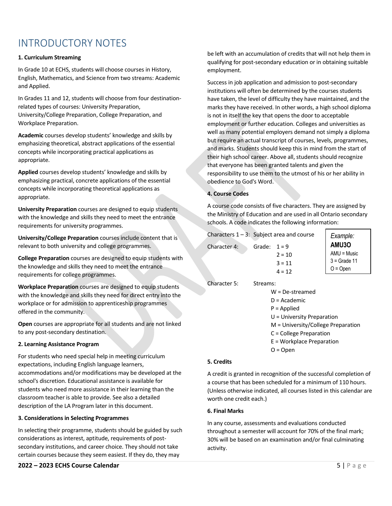# <span id="page-6-0"></span>INTRODUCTORY NOTES

#### **1. Curriculum Streaming**

In Grade 10 at ECHS, students will choose courses in History, English, Mathematics, and Science from two streams: Academic and Applied.

In Grades 11 and 12, students will choose from four destinationrelated types of courses: University Preparation, University/College Preparation, College Preparation, and Workplace Preparation.

**Academic** courses develop students' knowledge and skills by emphasizing theoretical, abstract applications of the essential concepts while incorporating practical applications as appropriate.

**Applied** courses develop students' knowledge and skills by emphasizing practical, concrete applications of the essential concepts while incorporating theoretical applications as appropriate.

**University Preparation** courses are designed to equip students with the knowledge and skills they need to meet the entrance requirements for university programmes.

**University/College Preparation** courses include content that is relevant to both university and college programmes.

**College Preparation** courses are designed to equip students with the knowledge and skills they need to meet the entrance requirements for college programmes.

**Workplace Preparation** courses are designed to equip students with the knowledge and skills they need for direct entry into the workplace or for admission to apprenticeship programmes offered in the community.

**Open** courses are appropriate for all students and are not linked to any post-secondary destination.

#### **2. Learning Assistance Program**

For students who need special help in meeting curriculum expectations, including English language learners, accommodations and/or modifications may be developed at the school's discretion. Educational assistance is available for students who need more assistance in their learning than the classroom teacher is able to provide. See also a detailed description of the LA Program later in this document.

#### **3. Considerations in Selecting Programmes**

In selecting their programme, students should be guided by such considerations as interest, aptitude, requirements of postsecondary institutions, and career choice. They should not take certain courses because they seem easiest. If they do, they may

#### **2022 – 2023 ECHS Course Calendar** 5 | P a g e

be left with an accumulation of credits that will not help them in qualifying for post-secondary education or in obtaining suitable employment.

Success in job application and admission to post-secondary institutions will often be determined by the courses students have taken, the level of difficulty they have maintained, and the marks they have received. In other words, a high school diploma is not in itself the key that opens the door to acceptable employment or further education. Colleges and universities as well as many potential employers demand not simply a diploma but require an actual transcript of courses, levels, programmes, and marks. Students should keep this in mind from the start of their high school career. Above all, students should recognize that everyone has been granted talents and given the responsibility to use them to the utmost of his or her ability in obedience to God's Word.

#### **4. Course Codes**

A course code consists of five characters. They are assigned by the Ministry of Education and are used in all Ontario secondary schools. A code indicates the following information:

| Characters $1 - 3$ : Subject area and course |          | Example:                                             |                                                               |
|----------------------------------------------|----------|------------------------------------------------------|---------------------------------------------------------------|
| Character 4:                                 | Grade:   | $1 = 9$<br>$2 = 10$<br>$3 = 11$<br>$4 = 12$          | <b>AMU30</b><br>$AMU = Music$<br>$3 =$ Grade 11<br>$O = Open$ |
| Character 5:                                 | Streams: | $W = De-streamed$<br>$D = Academic$<br>$P =$ Applied |                                                               |

U = University Preparation M = University/College Preparation C = College Preparation E = Workplace Preparation

O = Open

#### **5. Credits**

A credit is granted in recognition of the successful completion of a course that has been scheduled for a minimum of 110 hours. (Unless otherwise indicated, all courses listed in this calendar are worth one credit each.)

#### **6. Final Marks**

In any course, assessments and evaluations conducted throughout a semester will account for 70% of the final mark; 30% will be based on an examination and/or final culminating activity.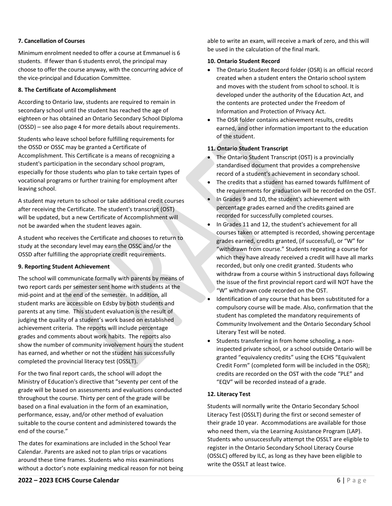#### **7. Cancellation of Courses**

Minimum enrolment needed to offer a course at Emmanuel is 6 students. If fewer than 6 students enrol, the principal may choose to offer the course anyway, with the concurring advice of the vice-principal and Education Committee.

#### **8. The Certificate of Accomplishment**

According to Ontario law, students are required to remain in secondary school until the student has reached the age of eighteen or has obtained an Ontario Secondary School Diploma (OSSD) – see also page 4 for more details about requirements.

Students who leave school before fulfilling requirements for the OSSD or OSSC may be granted a Certificate of Accomplishment. This Certificate is a means of recognizing a student's participation in the secondary school program, especially for those students who plan to take certain types of vocational programs or further training for employment after leaving school.

A student may return to school or take additional credit courses after receiving the Certificate. The student's transcript (OST) will be updated, but a new Certificate of Accomplishment will not be awarded when the student leaves again.

A student who receives the Certificate and chooses to return to study at the secondary level may earn the OSSC and/or the OSSD after fulfilling the appropriate credit requirements.

#### **9. Reporting Student Achievement**

The school will communicate formally with parents by means of two report cards per semester sent home with students at the mid-point and at the end of the semester. In addition, all student marks are accessible on Edsby by both students and parents at any time. This student evaluation is the result of judging the quality of a student's work based on established achievement criteria. The reports will include percentage grades and comments about work habits. The reports also show the number of community involvement hours the student has earned, and whether or not the student has successfully completed the provincial literacy test (OSSLT).

For the two final report cards, the school will adopt the Ministry of Education's directive that "seventy per cent of the grade will be based on assessments and evaluations conducted throughout the course. Thirty per cent of the grade will be based on a final evaluation in the form of an examination, performance, essay, and/or other method of evaluation suitable to the course content and administered towards the end of the course."

The dates for examinations are included in the School Year Calendar. Parents are asked not to plan trips or vacations around these time frames. Students who miss examinations without a doctor's note explaining medical reason for not being able to write an exam, will receive a mark of zero, and this will be used in the calculation of the final mark.

#### **10. Ontario Student Record**

- The Ontario Student Record folder (OSR) is an official record created when a student enters the Ontario school system and moves with the student from school to school. It is developed under the authority of the Education Act, and the contents are protected under the Freedom of Information and Protection of Privacy Act.
- The OSR folder contains achievement results, credits earned, and other information important to the education of the student.

#### **11. Ontario Student Transcript**

- The Ontario Student Transcript (OST) is a provincially standardised document that provides a comprehensive record of a student's achievement in secondary school.
- The credits that a student has earned towards fulfilment of the requirements for graduation will be recorded on the OST.
- In Grades 9 and 10, the student's achievement with percentage grades earned and the credits gained are recorded for successfully completed courses.
- In Grades 11 and 12, the student's achievement for all courses taken or attempted is recorded, showing percentage grades earned, credits granted, (if successful), or "W" for "withdrawn from course." Students repeating a course for which they have already received a credit will have all marks recorded, but only one credit granted. Students who withdraw from a course within 5 instructional days following the issue of the first provincial report card will NOT have the "W" withdrawn code recorded on the OST.
- Identification of any course that has been substituted for a compulsory course will be made. Also, confirmation that the student has completed the mandatory requirements of Community Involvement and the Ontario Secondary School Literary Test will be noted.
- Students transferring in from home schooling, a noninspected private school, or a school outside Ontario will be granted "equivalency credits" using the ECHS "Equivalent Credit Form" (completed form will be included in the OSR); credits are recorded on the OST with the code "PLE" and "EQV" will be recorded instead of a grade.

#### **12. Literacy Test**

Students will normally write the Ontario Secondary School Literacy Test (OSSLT) during the first or second semester of their grade 10 year. Accommodations are available for those who need them, via the Learning Assistance Program (LAP). Students who unsuccessfully attempt the OSSLT are eligible to register in the Ontario Secondary School Literacy Course (OSSLC) offered by ILC, as long as they have been eligible to write the OSSLT at least twice.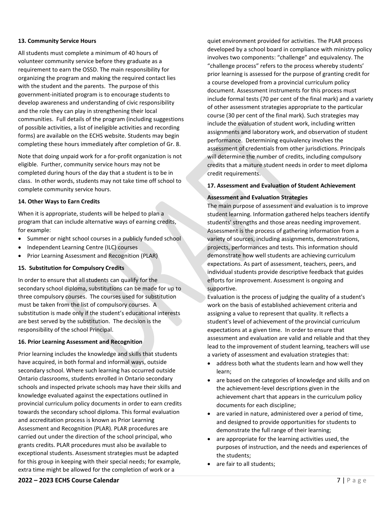#### **13. Community Service Hours**

All students must complete a minimum of 40 hours of volunteer community service before they graduate as a requirement to earn the OSSD. The main responsibility for organizing the program and making the required contact lies with the student and the parents. The purpose of this government-initiated program is to encourage students to develop awareness and understanding of civic responsibility and the role they can play in strengthening their local communities. Full details of the program (including suggestions of possible activities, a list of ineligible activities and recording forms) are available on the ECHS website. Students may begin completing these hours immediately after completion of Gr. 8.

Note that doing unpaid work for a for-profit organization is not eligible. Further, community service hours may not be completed during hours of the day that a student is to be in class. In other words, students may not take time off school to complete community service hours.

#### **14. Other Ways to Earn Credits**

When it is appropriate, students will be helped to plan a program that can include alternative ways of earning credits, for example:

- Summer or night school courses in a publicly funded school
- Independent Learning Centre (ILC) courses
- Prior Learning Assessment and Recognition (PLAR)

#### **15. Substitution for Compulsory Credits**

In order to ensure that all students can qualify for the secondary school diploma, substitutions can be made for up to three compulsory courses. The courses used for substitution must be taken from the list of compulsory courses. A substitution is made only if the student's educational interests are best served by the substitution. The decision is the responsibility of the school Principal.

#### **16. Prior Learning Assessment and Recognition**

Prior learning includes the knowledge and skills that students have acquired, in both formal and informal ways, outside secondary school. Where such learning has occurred outside Ontario classrooms, students enrolled in Ontario secondary schools and inspected private schools may have their skills and knowledge evaluated against the expectations outlined in provincial curriculum policy documents in order to earn credits towards the secondary school diploma. This formal evaluation and accreditation process is known as Prior Learning Assessment and Recognition (PLAR). PLAR procedures are carried out under the direction of the school principal, who grants credits. PLAR procedures must also be available to exceptional students. Assessment strategies must be adapted for this group in keeping with their special needs; for example, extra time might be allowed for the completion of work or a

quiet environment provided for activities. The PLAR process developed by a school board in compliance with ministry policy involves two components: "challenge" and equivalency. The "challenge process" refers to the process whereby students' prior learning is assessed for the purpose of granting credit for a course developed from a provincial curriculum policy document. Assessment instruments for this process must include formal tests (70 per cent of the final mark) and a variety of other assessment strategies appropriate to the particular course (30 per cent of the final mark). Such strategies may include the evaluation of student work, including written assignments and laboratory work, and observation of student performance. Determining equivalency involves the assessment of credentials from other jurisdictions. Principals will determine the number of credits, including compulsory credits that a mature student needs in order to meet diploma credit requirements.

#### **17. Assessment and Evaluation of Student Achievement**

#### **Assessment and Evaluation Strategies**

The main purpose of assessment and evaluation is to improve student learning. Information gathered helps teachers identify students' strengths and those areas needing improvement. Assessment is the process of gathering information from a variety of sources, including assignments, demonstrations, projects, performances and tests. This information should demonstrate how well students are achieving curriculum expectations. As part of assessment, teachers, peers, and individual students provide descriptive feedback that guides efforts for improvement. Assessment is ongoing and supportive.

Evaluation is the process of judging the quality of a student's work on the basis of established achievement criteria and assigning a value to represent that quality. It reflects a student's level of achievement of the provincial curriculum expectations at a given time. In order to ensure that assessment and evaluation are valid and reliable and that they lead to the improvement of student learning, teachers will use a variety of assessment and evaluation strategies that:

- address both what the students learn and how well they learn;
- are based on the categories of knowledge and skills and on the achievement-level descriptions given in the achievement chart that appears in the curriculum policy documents for each discipline;
- are varied in nature, administered over a period of time, and designed to provide opportunities for students to demonstrate the full range of their learning;
- are appropriate for the learning activities used, the purposes of instruction, and the needs and experiences of the students;
- are fair to all students;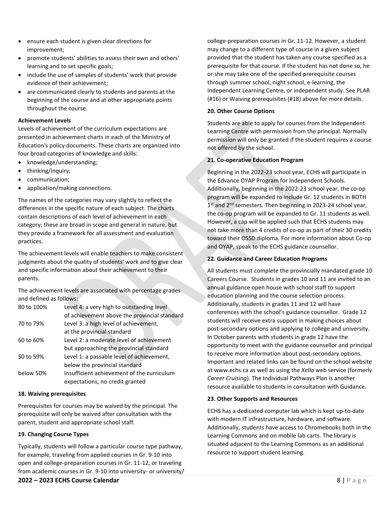- ensure each student is given clear directions for improvement;
- promote students' abilities to assess their own and others' learning and to set specific goals;
- include the use of samples of students' work that provide evidence of their achievement;
- are communicated clearly to students and parents at the beginning of the course and at other appropriate points throughout the course.

#### **Achievement Levels**

Levels of achievement of the curriculum expectations are presented in achievement charts in each of the Ministry of Education's policy documents. These charts are organized into four broad categories of knowledge and skills:

- knowledge/understanding;
- thinking/inquiry;
- communication;
- application/making connections.

The names of the categories may vary slightly to reflect the differences in the specific nature of each subject. The charts contain descriptions of each level of achievement in each category; these are broad in scope and general in nature, but they provide a framework for all assessment and evaluation practices.

The achievement levels will enable teachers to make consistent judgments about the quality of students' work and to give clear and specific information about their achievement to their parents.

The achievement levels are associated with percentage grades and defined as follows:

| 80 to 100% | Level 4: a very high to outstanding level                                     |  |
|------------|-------------------------------------------------------------------------------|--|
|            | of achievement above the provincial standard                                  |  |
| 70 to 79%  | Level 3: a high level of achievement,                                         |  |
|            | at the provincial standard                                                    |  |
| 60 to 60%  | Level 2: a moderate level of achievement                                      |  |
|            | but approaching the provincial standard                                       |  |
| 50 to 59%  | Level 1: a passable level of achievement,                                     |  |
|            | below the provincial standard                                                 |  |
| below 50%  | Insufficient achievement of the curriculum<br>expectations, no credit granted |  |
|            |                                                                               |  |

#### **18. Waiving prerequisites**

Prerequisites for courses may be waived by the principal. The prerequisite will only be waived after consultation with the parent, student and appropriate school staff.

#### **19. Changing Course Types**

Typically, students will follow a particular course type pathway, for example, traveling from applied courses in Gr. 9-10 into open and college-preparation courses in Gr. 11-12, or traveling from academic courses in Gr. 9-10 into university- or university/ college-preparation courses in Gr. 11-12. However, a student may change to a different type of course in a given subject provided that the student has taken any course specified as a prerequisite for that course. If the student has not done so, he or she may take one of the specified prerequisite courses through summer school, night school, e-learning, the Independent Learning Centre, or independent study. See PLAR (#16) or Waiving prerequisites (#18) above for more details.

#### **20. Other Course Options**

Students are able to apply for courses from the Independent Learning Centre with permission from the principal. Normally permission will only be granted if the student requires a course not offered by the school.

#### **21. Co-operative Education Program**

Beginning in the 2022-23 school year, ECHS will participate in the Edvance OYAP Program for Independent Schools. Additionally, beginning in the 2022-23 school year, the co-op program will be expanded to include Gr. 12 students in BOTH 1<sup>st</sup> and 2<sup>nd</sup> semesters. Then beginning in 2023-24 school year, the co-op program will be expanded to Gr. 11 students as well. However, a cap will be applied such that ECHS students may not take more than 4 credits of co-op as part of their 30 credits toward their OSSD diploma. For more information about Co-op and OYAP, speak to the ECHS guidance counsellor.

#### **22. Guidance and Career Education Programs**

All students must complete the provincially mandated grade 10 Careers Course. Students in grades 10 and 11 are invited to an annual guidance open house with school staff to support education planning and the course selection process. Additionally, students in grades 11 and 12 will have conferences with the school's guidance counsellor. Grade 12 students will receive extra support in making choices about post-secondary options and applying to college and university. In October parents with students in grade 12 have the opportunity to meet with the guidance counsellor and principal to receive more information about post-secondary options. Important and related links can be found on the school website a[t www.echs.ca](http://www.echs.ca/) as well as using the *Xello* web service (formerly *Career Cruising*). The Individual Pathways Plan is another resource available to students in consultation with Guidance.

#### **23. Other Supports and Resources**

ECHS has a dedicated computer lab which is kept up-to-date with modern IT infrastructure, hardware, and software. Additionally, students have access to Chromebooks both in the Learning Commons and on mobile lab carts. The library is situated adjacent to the Learning Commons as an additional resource to support student learning.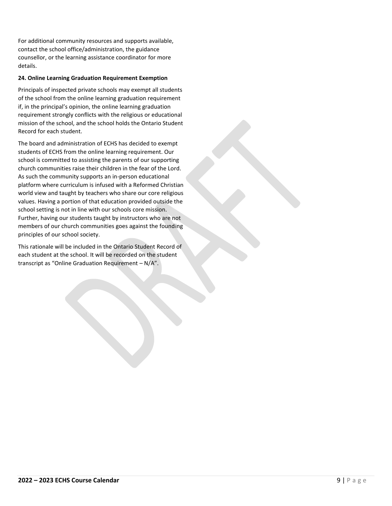For additional community resources and supports available, contact the school office/administration, the guidance counsellor, or the learning assistance coordinator for more details.

#### **24. Online Learning Graduation Requirement Exemption**

Principals of inspected private schools may exempt all students of the school from the online learning graduation requirement if, in the principal's opinion, the online learning graduation requirement strongly conflicts with the religious or educational mission of the school, and the school holds the Ontario Student Record for each student.

The board and administration of ECHS has decided to exempt students of ECHS from the online learning requirement. Our school is committed to assisting the parents of our supporting church communities raise their children in the fear of the Lord. As such the community supports an in-person educational platform where curriculum is infused with a Reformed Christian world view and taught by teachers who share our core religious values. Having a portion of that education provided outside the school setting is not in line with our schools core mission. Further, having our students taught by instructors who are not members of our church communities goes against the founding principles of our school society.

This rationale will be included in the Ontario Student Record of each student at the school. It will be recorded on the student transcript as "Online Graduation Requirement – N/A".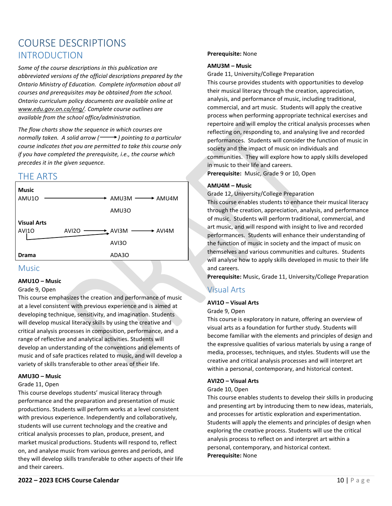# <span id="page-11-1"></span><span id="page-11-0"></span>COURSE DESCRIPTIONS INTRODUCTION

*Some of the course descriptions in this publication are abbreviated versions of the official descriptions prepared by the Ontario Ministry of Education. Complete information about all courses and prerequisites may be obtained from the school. Ontario curriculum policy documents are available online at [www.edu.gov.on.ca/eng/.](http://www.edu.gov.on.ca/eng/) Complete course outlines are available from the school office/administration.*

*The flow charts show the sequence in which courses are normally taken. A solid arrow* ( $\longrightarrow$ ) pointing to a particular *course indicates that you are permitted to take this course only if you have completed the prerequisite, i.e., the course which precedes it in the given sequence.* 

# <span id="page-11-2"></span>THE ARTS



### <span id="page-11-3"></span>Music

#### **AMU1O – Music**

#### Grade 9, Open

This course emphasizes the creation and performance of music at a level consistent with previous experience and is aimed at developing technique, sensitivity, and imagination. Students will develop musical literacy skills by using the creative and critical analysis processes in composition, performance, and a range of reflective and analytical activities. Students will develop an understanding of the conventions and elements of music and of safe practices related to music, and will develop a variety of skills transferable to other areas of their life.

#### **AMU3O – Music**

#### Grade 11, Open

This course develops students' musical literacy through performance and the preparation and presentation of music productions. Students will perform works at a level consistent with previous experience. Independently and collaboratively, students will use current technology and the creative and critical analysis processes to plan, produce, present, and market musical productions. Students will respond to, reflect on, and analyse music from various genres and periods, and they will develop skills transferable to other aspects of their life and their careers.

#### **Prerequisite:** None

#### **AMU3M – Music**

Grade 11, University/College Preparation

This course provides students with opportunities to develop their musical literacy through the creation, appreciation, analysis, and performance of music, including traditional, commercial, and art music. Students will apply the creative process when performing appropriate technical exercises and repertoire and will employ the critical analysis processes when reflecting on, responding to, and analysing live and recorded performances. Students will consider the function of music in society and the impact of music on individuals and communities. They will explore how to apply skills developed in music to their life and careers.

**Prerequisite:** Music, Grade 9 or 10, Open

#### **AMU4M – Music**

Grade 12, University/College Preparation

This course enables students to enhance their musical literacy through the creation, appreciation, analysis, and performance of music. Students will perform traditional, commercial, and art music, and will respond with insight to live and recorded performances. Students will enhance their understanding of the function of music in society and the impact of music on themselves and various communities and cultures. Students will analyse how to apply skills developed in music to their life and careers.

**Prerequisite:** Music, Grade 11, University/College Preparation

# <span id="page-11-4"></span>Visual Arts

#### **AVI1O – Visual Arts**

#### Grade 9, Open

This course is exploratory in nature, offering an overview of visual arts as a foundation for further study. Students will become familiar with the elements and principles of design and the expressive qualities of various materials by using a range of media, processes, techniques, and styles. Students will use the creative and critical analysis processes and will interpret art within a personal, contemporary, and historical context.

#### **AVI2O – Visual Arts**

#### Grade 10, Open

This course enables students to develop their skills in producing and presenting art by introducing them to new ideas, materials, and processes for artistic exploration and experimentation. Students will apply the elements and principles of design when exploring the creative process. Students will use the critical analysis process to reflect on and interpret art within a personal, contemporary, and historical context. **Prerequisite:** None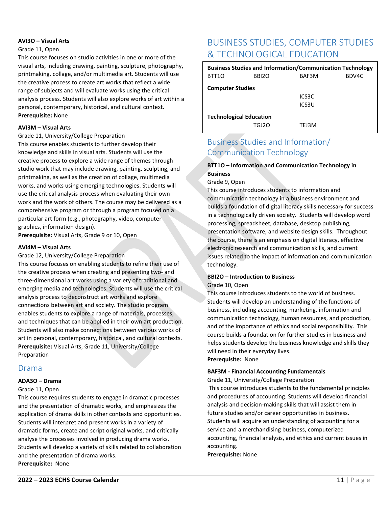#### **AVI3O – Visual Arts**

#### Grade 11, Open

This course focuses on studio activities in one or more of the visual arts, including drawing, painting, sculpture, photography, printmaking, collage, and/or multimedia art. Students will use the creative process to create art works that reflect a wide range of subjects and will evaluate works using the critical analysis process. Students will also explore works of art within a personal, contemporary, historical, and cultural context. **Prerequisite:** None

#### **AVI3M – Visual Arts**

#### Grade 11, University/College Preparation

This course enables students to further develop their knowledge and skills in visual arts. Students will use the creative process to explore a wide range of themes through studio work that may include drawing, painting, sculpting, and printmaking, as well as the creation of collage, multimedia works, and works using emerging technologies. Students will use the critical analysis process when evaluating their own work and the work of others. The course may be delivered as a comprehensive program or through a program focused on a particular art form (e.g., photography, video, computer graphics, information design).

**Prerequisite:** Visual Arts, Grade 9 or 10, Open

#### **AVI4M – Visual Arts**

#### Grade 12, University/College Preparation

This course focuses on enabling students to refine their use of the creative process when creating and presenting two- and three-dimensional art works using a variety of traditional and emerging media and technologies. Students will use the critical analysis process to deconstruct art works and explore connections between art and society. The studio program enables students to explore a range of materials, processes, and techniques that can be applied in their own art production. Students will also make connections between various works of art in personal, contemporary, historical, and cultural contexts. **Prerequisite:** Visual Arts, Grade 11, University/College Preparation

### <span id="page-12-0"></span>Drama

#### **ADA3O – Drama**

#### Grade 11, Open

This course requires students to engage in dramatic processes and the presentation of dramatic works, and emphasizes the application of drama skills in other contexts and opportunities. Students will interpret and present works in a variety of dramatic forms, create and script original works, and critically analyse the processes involved in producing drama works. Students will develop a variety of skills related to collaboration and the presentation of drama works. **Prerequisite:** None

# <span id="page-12-1"></span>BUSINESS STUDIES, COMPUTER STUDIES & TECHNOLOGICAL EDUCATION

| <b>Business Studies and Information/Communication Technology</b> |                   |        |       |
|------------------------------------------------------------------|-------------------|--------|-------|
| BTT10                                                            | BBI <sub>20</sub> | BAF3M  | BDV4C |
| <b>Computer Studies</b>                                          |                   |        |       |
|                                                                  |                   | ICS3C  |       |
|                                                                  |                   | ICS3U  |       |
| <b>Technological Education</b>                                   |                   |        |       |
|                                                                  | TGI2N             | TF 13M |       |

# <span id="page-12-2"></span>Business Studies and Information/ Communication Technology

#### **BTT1O – Information and Communication Technology in Business**

Grade 9, Open

This course introduces students to information and communication technology in a business environment and builds a foundation of digital literacy skills necessary for success in a technologically driven society. Students will develop word processing, spreadsheet, database, desktop publishing, presentation software, and website design skills. Throughout the course, there is an emphasis on digital literacy, effective electronic research and communication skills, and current issues related to the impact of information and communication technology.

#### **BBI2O – Introduction to Business**

#### Grade 10, Open

This course introduces students to the world of business. Students will develop an understanding of the functions of business, including accounting, marketing, information and communication technology, human resources, and production, and of the importance of ethics and social responsibility. This course builds a foundation for further studies in business and helps students develop the business knowledge and skills they will need in their everyday lives.

#### **Prerequisite:** None

#### **BAF3M - Financial Accounting Fundamentals**

Grade 11, University/College Preparation

This course introduces students to the fundamental principles and procedures of accounting. Students will develop financial analysis and decision-making skills that will assist them in future studies and/or career opportunities in business. Students will acquire an understanding of accounting for a service and a merchandising business, computerized accounting, financial analysis, and ethics and current issues in accounting.

#### **Prerequisite:** None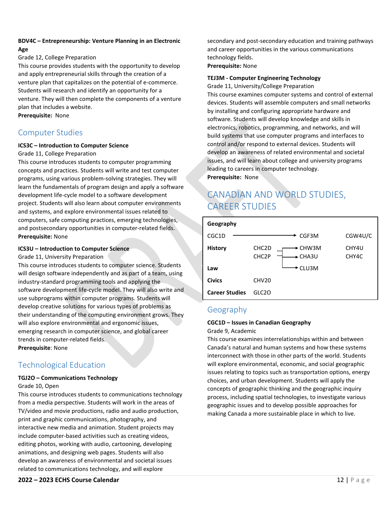#### **BDV4C – Entrepreneurship: Venture Planning in an Electronic Age**

#### Grade 12, College Preparation

This course provides students with the opportunity to develop and apply entrepreneurial skills through the creation of a venture plan that capitalizes on the potential of e-commerce. Students will research and identify an opportunity for a venture. They will then complete the components of a venture plan that includes a website.

**Prerequisite:** None

# <span id="page-13-0"></span>Computer Studies

#### **ICS3C – Introduction to Computer Science**

#### Grade 11, College Preparation

This course introduces students to computer programming concepts and practices. Students will write and test computer programs, using various problem-solving strategies. They will learn the fundamentals of program design and apply a software development life-cycle model to a software development project. Students will also learn about computer environments and systems, and explore environmental issues related to computers, safe computing practices, emerging technologies, and postsecondary opportunities in computer-related fields. **Prerequisite:** None

#### **ICS3U – Introduction to Computer Science**

#### Grade 11, University Preparation

This course introduces students to computer science. Students will design software independently and as part of a team, using industry-standard programming tools and applying the software development life-cycle model. They will also write and use subprograms within computer programs. Students will develop creative solutions for various types of problems as their understanding of the computing environment grows. They will also explore environmental and ergonomic issues, emerging research in computer science, and global career trends in computer-related fields. **Prerequisite**: None

# <span id="page-13-1"></span>Technological Education

### **TGJ2O – Communications Technology**

#### Grade 10, Open

This course introduces students to communications technology from a media perspective. Students will work in the areas of TV/video and movie productions, radio and audio production, print and graphic communications, photography, and interactive new media and animation. Student projects may include computer-based activities such as creating videos, editing photos, working with audio, cartooning, developing animations, and designing web pages. Students will also develop an awareness of environmental and societal issues related to communications technology, and will explore

secondary and post-secondary education and training pathways and career opportunities in the various communications technology fields.

#### **Prerequisite:** None

#### **TEJ3M - Computer Engineering Technology**

Grade 11, University/College Preparation

This course examines computer systems and control of external devices. Students will assemble computers and small networks by installing and configuring appropriate hardware and software. Students will develop knowledge and skills in electronics, robotics, programming, and networks, and will build systems that use computer programs and interfaces to control and/or respond to external devices. Students will develop an awareness of related environmental and societal issues, and will learn about college and university programs leading to careers in computer technology. **Prerequisite:** None

# <span id="page-13-2"></span>CANADIAN AND WORLD STUDIES, CAREER STUDIES

| Geography             |                                          |                |                |
|-----------------------|------------------------------------------|----------------|----------------|
| CGC1D                 |                                          | CGF3M          | CGW4U/C        |
| <b>History</b>        | CHC <sub>2</sub> D<br>CHC <sub>2</sub> P | CHW3M<br>CHA3U | CHY4U<br>CHY4C |
| Law                   |                                          | CLU3M          |                |
| <b>Civics</b>         | CHV <sub>20</sub>                        |                |                |
| <b>Career Studies</b> | GLC2O                                    |                |                |

# <span id="page-13-3"></span>Geography

#### **CGC1D – Issues in Canadian Geography**

Grade 9, Academic

This course examines interrelationships within and between Canada's natural and human systems and how these systems interconnect with those in other parts of the world. Students will explore environmental, economic, and social geographic issues relating to topics such as transportation options, energy choices, and urban development. Students will apply the concepts of geographic thinking and the geographic inquiry process, including spatial technologies, to investigate various geographic issues and to develop possible approaches for making Canada a more sustainable place in which to live.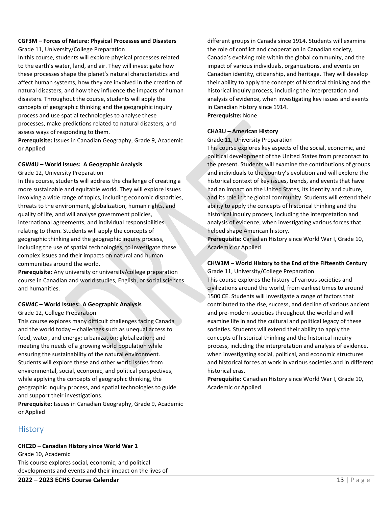# **CGF3M – Forces of Nature: Physical Processes and Disasters**

Grade 11, University/College Preparation In this course, students will explore physical processes related to the earth's water, land, and air. They will investigate how these processes shape the planet's natural characteristics and affect human systems, how they are involved in the creation of natural disasters, and how they influence the impacts of human disasters. Throughout the course, students will apply the concepts of geographic thinking and the geographic inquiry process and use spatial technologies to analyse these processes, make predictions related to natural disasters, and assess ways of responding to them.

**Prerequisite:** Issues in Canadian Geography, Grade 9, Academic or Applied

#### **CGW4U – World Issues: A Geographic Analysis**

Grade 12, University Preparation

In this course, students will address the challenge of creating a more sustainable and equitable world. They will explore issues involving a wide range of topics, including economic disparities, threats to the environment, globalization, human rights, and quality of life, and will analyse government policies, international agreements, and individual responsibilities relating to them. Students will apply the concepts of geographic thinking and the geographic inquiry process, including the use of spatial technologies, to investigate these complex issues and their impacts on natural and human communities around the world.

**Prerequisite:** Any university or university/college preparation course in Canadian and world studies, English, or social sciences and humanities.

#### **CGW4C – World Issues: A Geographic Analysis**

Grade 12, College Preparation

This course explores many difficult challenges facing Canada and the world today – challenges such as unequal access to food, water, and energy; urbanization; globalization; and meeting the needs of a growing world population while ensuring the sustainability of the natural environment. Students will explore these and other world issues from environmental, social, economic, and political perspectives, while applying the concepts of geographic thinking, the geographic inquiry process, and spatial technologies to guide and support their investigations.

**Prerequisite:** Issues in Canadian Geography, Grade 9, Academic or Applied

# <span id="page-14-0"></span>**History**

**CHC2D – Canadian History since World War 1** Grade 10, Academic This course explores social, economic, and political developments and events and their impact on the lives of different groups in Canada since 1914. Students will examine the role of conflict and cooperation in Canadian society, Canada's evolving role within the global community, and the impact of various individuals, organizations, and events on Canadian identity, citizenship, and heritage. They will develop their ability to apply the concepts of historical thinking and the historical inquiry process, including the interpretation and analysis of evidence, when investigating key issues and events in Canadian history since 1914. **Prerequisite:** None

#### **CHA3U – American History**

Grade 11, University Preparation

This course explores key aspects of the social, economic, and political development of the United States from precontact to the present. Students will examine the contributions of groups and individuals to the country's evolution and will explore the historical context of key issues, trends, and events that have had an impact on the United States, its identity and culture, and its role in the global community. Students will extend their ability to apply the concepts of historical thinking and the historical inquiry process, including the interpretation and analysis of evidence, when investigating various forces that helped shape American history.

**Prerequisite:** Canadian History since World War I, Grade 10, Academic or Applied

### **CHW3M – World History to the End of the Fifteenth Century**

Grade 11, University/College Preparation This course explores the history of various societies and civilizations around the world, from earliest times to around 1500 CE. Students will investigate a range of factors that contributed to the rise, success, and decline of various ancient and pre-modern societies throughout the world and will examine life in and the cultural and political legacy of these societies. Students will extend their ability to apply the concepts of historical thinking and the historical inquiry process, including the interpretation and analysis of evidence, when investigating social, political, and economic structures and historical forces at work in various societies and in different historical eras.

**Prerequisite:** Canadian History since World War I, Grade 10, Academic or Applied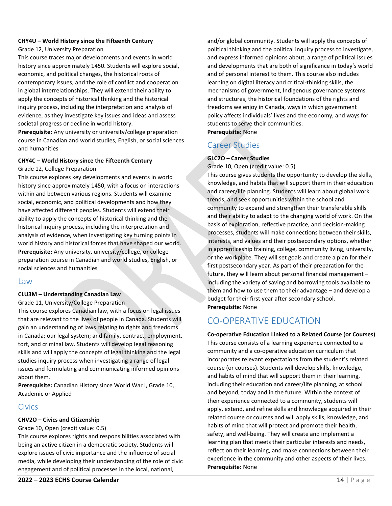#### **CHY4U – World History since the Fifteenth Century**

#### Grade 12, University Preparation

This course traces major developments and events in world history since approximately 1450. Students will explore social, economic, and political changes, the historical roots of contemporary issues, and the role of conflict and cooperation in global interrelationships. They will extend their ability to apply the concepts of historical thinking and the historical inquiry process, including the interpretation and analysis of evidence, as they investigate key issues and ideas and assess societal progress or decline in world history.

**Prerequisite:** Any university or university/college preparation course in Canadian and world studies, English, or social sciences and humanities

# **CHY4C – World History since the Fifteenth Century**

Grade 12, College Preparation

This course explores key developments and events in world history since approximately 1450, with a focus on interactions within and between various regions. Students will examine social, economic, and political developments and how they have affected different peoples. Students will extend their ability to apply the concepts of historical thinking and the historical inquiry process, including the interpretation and analysis of evidence, when investigating key turning points in world history and historical forces that have shaped our world. **Prerequisite:** Any university, university/college, or college preparation course in Canadian and world studies, English, or social sciences and humanities

#### <span id="page-15-0"></span>Law

#### **CLU3M – Understanding Canadian Law**

Grade 11, University/College Preparation

This course explores Canadian law, with a focus on legal issues that are relevant to the lives of people in Canada. Students will gain an understanding of laws relating to rights and freedoms in Canada; our legal system; and family, contract, employment, tort, and criminal law. Students will develop legal reasoning skills and will apply the concepts of legal thinking and the legal studies inquiry process when investigating a range of legal issues and formulating and communicating informed opinions about them.

**Prerequisite:** Canadian History since World War I, Grade 10, Academic or Applied

### <span id="page-15-1"></span>Civics

#### **CHV2O – Civics and Citizenship**

#### Grade 10, Open (credit value: 0.5)

This course explores rights and responsibilities associated with being an active citizen in a democratic society. Students will explore issues of civic importance and the influence of social media, while developing their understanding of the role of civic engagement and of political processes in the local, national,

and/or global community. Students will apply the concepts of political thinking and the political inquiry process to investigate, and express informed opinions about, a range of political issues and developments that are both of significance in today's world and of personal interest to them. This course also includes learning on digital literacy and critical-thinking skills, the mechanisms of government, Indigenous governance systems and structures, the historical foundations of the rights and freedoms we enjoy in Canada, ways in which government policy affects individuals' lives and the economy, and ways for students to serve their communities. **Prerequisite:** None

### <span id="page-15-2"></span>Career Studies

#### **GLC2O – Career Studies**

Grade 10, Open (credit value: 0.5)

This course gives students the opportunity to develop the skills, knowledge, and habits that will support them in their education and career/life planning. Students will learn about global work trends, and seek opportunities within the school and community to expand and strengthen their transferable skills and their ability to adapt to the changing world of work. On the basis of exploration, reflective practice, and decision-making processes, students will make connections between their skills, interests, and values and their postsecondary options, whether in apprenticeship training, college, community living, university, or the workplace. They will set goals and create a plan for their first postsecondary year. As part of their preparation for the future, they will learn about personal financial management – including the variety of saving and borrowing tools available to them and how to use them to their advantage – and develop a budget for their first year after secondary school. **Prerequisite:** None

# <span id="page-15-3"></span>CO-OPERATIVE EDUCATION

**Co-operative Education Linked to a Related Course (or Courses)** This course consists of a learning experience connected to a community and a co-operative education curriculum that incorporates relevant expectations from the student's related course (or courses). Students will develop skills, knowledge, and habits of mind that will support them in their learning, including their education and career/life planning, at school and beyond, today and in the future. Within the context of their experience connected to a community, students will apply, extend, and refine skills and knowledge acquired in their related course or courses and will apply skills, knowledge, and habits of mind that will protect and promote their health, safety, and well-being. They will create and implement a learning plan that meets their particular interests and needs, reflect on their learning, and make connections between their experience in the community and other aspects of their lives. **Prerequisite:** None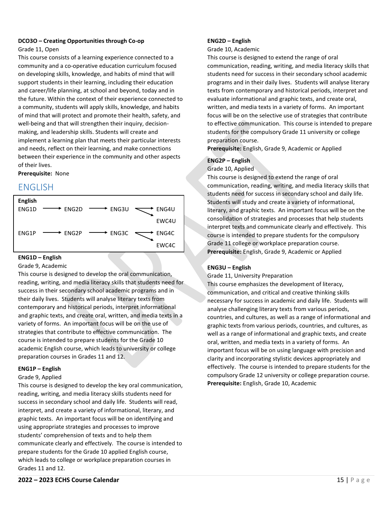#### **DCO3O – Creating Opportunities through Co-op** Grade 11, Open

This course consists of a learning experience connected to a community and a co-operative education curriculum focused on developing skills, knowledge, and habits of mind that will support students in their learning, including their education and career/life planning, at school and beyond, today and in the future. Within the context of their experience connected to a community, students will apply skills, knowledge, and habits of mind that will protect and promote their health, safety, and well-being and that will strengthen their inquiry, decisionmaking, and leadership skills. Students will create and implement a learning plan that meets their particular interests and needs, reflect on their learning, and make connections between their experience in the community and other aspects of their lives.

#### **Prerequisite:** None

# <span id="page-16-0"></span>ENGLISH



#### **ENG1D – English**

Grade 9, Academic

This course is designed to develop the oral communication, reading, writing, and media literacy skills that students need for success in their secondary school academic programs and in their daily lives. Students will analyse literary texts from contemporary and historical periods, interpret informational and graphic texts, and create oral, written, and media texts in a variety of forms. An important focus will be on the use of strategies that contribute to effective communication. The course is intended to prepare students for the Grade 10 academic English course, which leads to university or college preparation courses in Grades 11 and 12.

#### **ENG1P – English**

#### Grade 9, Applied

This course is designed to develop the key oral communication, reading, writing, and media literacy skills students need for success in secondary school and daily life. Students will read, interpret, and create a variety of informational, literary, and graphic texts. An important focus will be on identifying and using appropriate strategies and processes to improve students' comprehension of texts and to help them communicate clearly and effectively. The course is intended to prepare students for the Grade 10 applied English course, which leads to college or workplace preparation courses in Grades 11 and 12.

#### **ENG2D – English**

Grade 10, Academic

This course is designed to extend the range of oral communication, reading, writing, and media literacy skills that students need for success in their secondary school academic programs and in their daily lives. Students will analyse literary texts from contemporary and historical periods, interpret and evaluate informational and graphic texts, and create oral, written, and media texts in a variety of forms. An important focus will be on the selective use of strategies that contribute to effective communication. This course is intended to prepare students for the compulsory Grade 11 university or college preparation course.

**Prerequisite:** English, Grade 9, Academic or Applied

#### **ENG2P – English**

Grade 10, Applied

This course is designed to extend the range of oral communication, reading, writing, and media literacy skills that students need for success in secondary school and daily life. Students will study and create a variety of informational, literary, and graphic texts. An important focus will be on the consolidation of strategies and processes that help students interpret texts and communicate clearly and effectively. This course is intended to prepare students for the compulsory Grade 11 college or workplace preparation course. **Prerequisite:** English, Grade 9, Academic or Applied

#### **ENG3U – English**

Grade 11, University Preparation

This course emphasizes the development of literacy, communication, and critical and creative thinking skills necessary for success in academic and daily life. Students will analyse challenging literary texts from various periods, countries, and cultures, as well as a range of informational and graphic texts from various periods, countries, and cultures, as well as a range of informational and graphic texts, and create oral, written, and media texts in a variety of forms. An important focus will be on using language with precision and clarity and incorporating stylistic devices appropriately and effectively. The course is intended to prepare students for the compulsory Grade 12 university or college preparation course. **Prerequisite:** English, Grade 10, Academic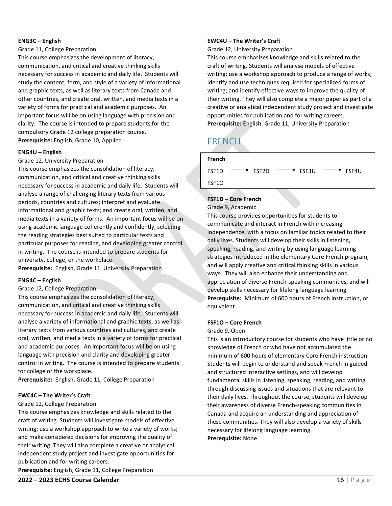#### **ENG3C – English**

Grade 11, College Preparation

This course emphasizes the development of literacy, communication, and critical and creative thinking skills necessary for success in academic and daily life. Students will study the content, form, and style of a variety of informational and graphic texts, as well as literary texts from Canada and other countries, and create oral, written, and media texts in a variety of forms for practical and academic purposes. An important focus will be on using language with precision and clarity. The course is intended to prepare students for the compulsory Grade 12 college preparation course. **Prerequisite:** English, Grade 10, Applied

#### **ENG4U – English**

#### Grade 12, University Preparation

This course emphasizes the consolidation of literacy, communication, and critical and creative thinking skills necessary for success in academic and daily life. Students will analyse a range of challenging literary texts from various periods, countries and cultures; interpret and evaluate informational and graphic texts; and create oral, written, and media texts in a variety of forms. An important focus will be on using academic language coherently and confidently, selecting the reading strategies best suited to particular texts and particular purposes for reading, and developing greater control in writing. The course is intended to prepare students for university, college, or the workplace.

**Prerequisite:** English, Grade 11, University Preparation

#### **ENG4C – English**

#### Grade 12, College Preparation

This course emphasizes the consolidation of literacy, communication, and critical and creative thinking skills necessary for success in academic and daily life. Students will analyse a variety of informational and graphic texts, as well as literary texts from various countries and cultures, and create oral, written, and media texts in a variety of forms for practical and academic purposes. An important focus will be on using language with precision and clarity and developing greater control in writing. The course is intended to prepare students for college or the workplace.

**Prerequisite:** English, Grade 11, College Preparation

#### **EWC4C – The Writer's Craft**

#### Grade 12, College Preparation

This course emphasizes knowledge and skills related to the craft of writing. Students will investigate models of effective writing; use a workshop approach to write a variety of works; and make considered decisions for improving the quality of their writing. They will also complete a creative or analytical independent study project and investigate opportunities for publication and for writing careers.

**Prerequisite:** English, Grade 11, College Preparation

#### **EWC4U – The Writer's Craft**

Grade 12, University Preparation

This course emphasizes knowledge and skills related to the craft of writing. Students will analyse models of effective writing; use a workshop approach to produce a range of works; identify and use techniques required for specialized forms of writing; and identify effective ways to improve the quality of their writing. They will also complete a major paper as part of a creative or analytical independent study project and investigate opportunities for publication and for writing careers. **Prerequisite:** English, Grade 11, University Preparation

# <span id="page-17-0"></span>FRENCH

| French |                         |                         |                         |
|--------|-------------------------|-------------------------|-------------------------|
| FSF1D  | $\longrightarrow$ FSF2D | $\longrightarrow$ FSF3U | $\longrightarrow$ FSF4U |
| FSF1O  |                         |                         |                         |

#### **FSF1D – Core French**

Grade 9, Academic

This course provides opportunities for students to communicate and interact in French with increasing independence, with a focus on familiar topics related to their daily lives. Students will develop their skills in listening, speaking, reading, and writing by using language learning strategies introduced in the elementary Core French program, and will apply creative and critical thinking skills in various ways. They will also enhance their understanding and appreciation of diverse French-speaking communities, and will develop skills necessary for lifelong language learning. **Prerequisite:** Minimum of 600 hours of French instruction, or equivalent

#### **FSF1O – Core French**

#### Grade 9, Open

This is an introductory course for students who have little or no knowledge of French or who have not accumulated the minimum of 600 hours of elementary Core French instruction. Students will begin to understand and speak French in guided and structured interactive settings, and will develop fundamental skills in listening, speaking, reading, and writing through discussing issues and situations that are relevant to their daily lives. Throughout the course, students will develop their awareness of diverse French-speaking communities in Canada and acquire an understanding and appreciation of these communities. They will also develop a variety of skills necessary for lifelong language learning. **Prerequisite:** None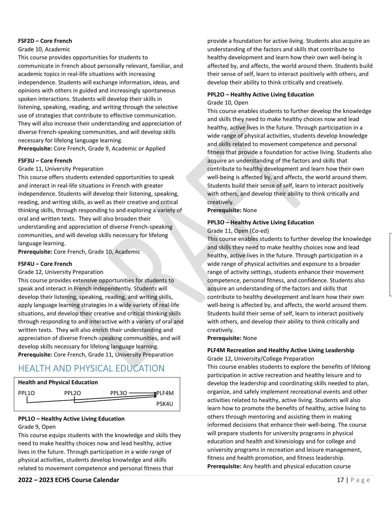#### **FSF2D – Core French**

#### Grade 10, Academic

This course provides opportunities for students to communicate in French about personally relevant, familiar, and academic topics in real-life situations with increasing independence. Students will exchange information, ideas, and opinions with others in guided and increasingly spontaneous spoken interactions. Students will develop their skills in listening, speaking, reading, and writing through the selective use of strategies that contribute to effective communication. They will also increase their understanding and appreciation of diverse French-speaking communities, and will develop skills necessary for lifelong language learning. **Prerequisite:** Core French, Grade 9, Academic or Applied

**FSF3U – Core French**

### Grade 11, University Preparation

This course offers students extended opportunities to speak and interact in real-life situations in French with greater independence. Students will develop their listening, speaking, reading, and writing skills, as well as their creative and critical thinking skills, through responding to and exploring a variety of oral and written texts. They will also broaden their understanding and appreciation of diverse French-speaking communities, and will develop skills necessary for lifelong language learning.

**Prerequisite:** Core French, Grade 10, Academic

### **FSF4U – Core French**

#### Grade 12, University Preparation

This course provides extensive opportunities for students to speak and interact in French independently. Students will develop their listening, speaking, reading, and writing skills, apply language learning strategies in a wide variety of real-life situations, and develop their creative and critical thinking skills through responding to and interactive with a variety of oral and written texts. They will also enrich their understanding and appreciation of diverse French-speaking communities, and will develop skills necessary for lifelong language learning. **Prerequisite:** Core French, Grade 11, University Preparation

# <span id="page-18-0"></span>HEALTH AND PHYSICAL EDUCATION



# **PPL1O – Healthy Active Living Education**

### Grade 9, Open

This course equips students with the knowledge and skills they need to make healthy choices now and lead healthy, active lives in the future. Through participation in a wide range of physical activities, students develop knowledge and skills related to movement competence and personal fitness that

provide a foundation for active living. Students also acquire an understanding of the factors and skills that contribute to healthy development and learn how their own well-being is affected by, and affects, the world around them. Students build their sense of self, learn to interact positively with others, and develop their ability to think critically and creatively.

#### **PPL2O – Healthy Active Living Education** Grade 10, Open

This course enables students to further develop the knowledge and skills they need to make healthy choices now and lead healthy, active lives in the future. Through participation in a wide range of physical activities, students develop knowledge and skills related to movement competence and personal fitness that provide a foundation for active living. Students also acquire an understanding of the factors and skills that contribute to healthy development and learn how their own well-being is affected by, and affects, the world around them. Students build their sense of self, learn to interact positively with others, and develop their ability to think critically and creatively.

**Prerequisite:** None

### **PPL3O – Healthy Active Living Education**

Grade 11, Open (Co-ed)

This course enables students to further develop the knowledge and skills they need to make healthy choices now and lead healthy, active lives in the future. Through participation in a wide range of physical activities and exposure to a broader range of activity settings, students enhance their movement competence, personal fitness, and confidence. Students also acquire an understanding of the factors and skills that contribute to healthy development and learn how their own well-being is affected by, and affects, the world around them. Students build their sense of self, learn to interact positively with others, and develop their ability to think critically and creatively.

**Prerequisite:** None

#### **PLF4M Recreation and Healthy Active Living Leadership** Grade 12, University/College Preparation

This course enables students to explore the benefits of lifelong participation in active recreation and healthy leisure and to develop the leadership and coordinating skills needed to plan, organize, and safely implement recreational events and other activities related to healthy, active living. Students will also learn how to promote the benefits of healthy, active living to others through mentoring and assisting them in making informed decisions that enhance their well-being. The course will prepare students for university programs in physical education and health and kinesiology and for college and university programs in recreation and leisure management, fitness and health promotion, and fitness leadership. **Prerequisite:** Any health and physical education course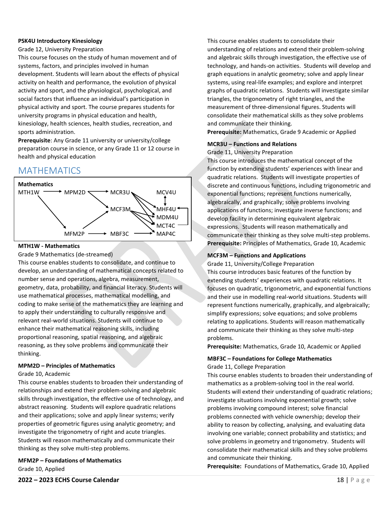#### **PSK4U Introductory Kinesiology**

#### Grade 12, University Preparation

This course focuses on the study of human movement and of systems, factors, and principles involved in human development. Students will learn about the effects of physical activity on health and performance, the evolution of physical activity and sport, and the physiological, psychological, and social factors that influence an individual's participation in physical activity and sport. The course prepares students for university programs in physical education and health, kinesiology, health sciences, health studies, recreation, and sports administration.

**Prerequisite**: Any Grade 11 university or university/college preparation course in science, or any Grade 11 or 12 course in health and physical education

# <span id="page-19-0"></span>MATHEMATICS



#### **MTH1W - Mathematics**

Grade 9 Mathematics (de-streamed)

This course enables students to consolidate, and continue to develop, an understanding of mathematical concepts related to number sense and operations, algebra, measurement, geometry, data, probability, and financial literacy. Students will use mathematical processes, mathematical modelling, and coding to make sense of the mathematics they are learning and to apply their understanding to culturally responsive and relevant real-world situations. Students will continue to enhance their mathematical reasoning skills, including proportional reasoning, spatial reasoning, and algebraic reasoning, as they solve problems and communicate their thinking.

#### **MPM2D – Principles of Mathematics**

#### Grade 10, Academic

This course enables students to broaden their understanding of relationships and extend their problem-solving and algebraic skills through investigation, the effective use of technology, and abstract reasoning. Students will explore quadratic relations and their applications; solve and apply linear systems; verify properties of geometric figures using analytic geometry; and investigate the trigonometry of right and acute triangles. Students will reason mathematically and communicate their thinking as they solve multi-step problems.

**MFM2P – Foundations of Mathematics** Grade 10, Applied

This course enables students to consolidate their understanding of relations and extend their problem-solving and algebraic skills through investigation, the effective use of technology, and hands-on activities. Students will develop and graph equations in analytic geometry; solve and apply linear systems, using real-life examples; and explore and interpret graphs of quadratic relations. Students will investigate similar triangles, the trigonometry of right triangles, and the measurement of three-dimensional figures. Students will consolidate their mathematical skills as they solve problems and communicate their thinking.

**Prerequisite:** Mathematics, Grade 9 Academic or Applied

#### **MCR3U – Functions and Relations**

Grade 11, University Preparation

This course introduces the mathematical concept of the function by extending students' experiences with linear and quadratic relations. Students will investigate properties of discrete and continuous functions, including trigonometric and exponential functions; represent functions numerically, algebraically, and graphically; solve problems involving applications of functions; investigate inverse functions; and develop facility in determining equivalent algebraic expressions. Students will reason mathematically and communicate their thinking as they solve multi-step problems. **Prerequisite:** Principles of Mathematics, Grade 10, Academic

#### **MCF3M – Functions and Applications**

Grade 11, University/College Preparation

This course introduces basic features of the function by extending students' experiences with quadratic relations. It focuses on quadratic, trigonometric, and exponential functions and their use in modelling real-world situations. Students will represent functions numerically, graphically, and algebraically; simplify expressions; solve equations; and solve problems relating to applications. Students will reason mathematically and communicate their thinking as they solve multi-step problems.

**Prerequisite:** Mathematics, Grade 10, Academic or Applied

### **MBF3C – Foundations for College Mathematics**

Grade 11, College Preparation

This course enables students to broaden their understanding of mathematics as a problem-solving tool in the real world. Students will extend their understanding of quadratic relations; investigate situations involving exponential growth; solve problems involving compound interest; solve financial problems connected with vehicle ownership; develop their ability to reason by collecting, analysing, and evaluating data involving one variable; connect probability and statistics; and solve problems in geometry and trigonometry. Students will consolidate their mathematical skills and they solve problems and communicate their thinking.

**Prerequisite:** Foundations of Mathematics, Grade 10, Applied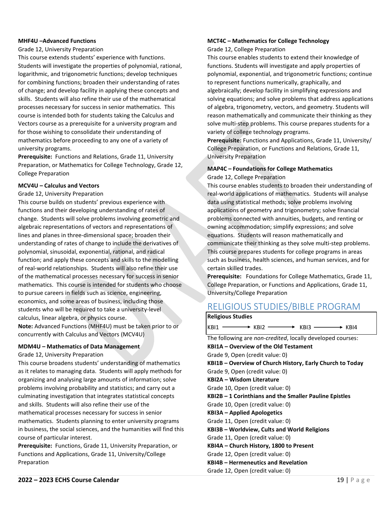#### **MHF4U –Advanced Functions**

#### Grade 12, University Preparation

This course extends students' experience with functions. Students will investigate the properties of polynomial, rational, logarithmic, and trigonometric functions; develop techniques for combining functions; broaden their understanding of rates of change; and develop facility in applying these concepts and skills. Students will also refine their use of the mathematical processes necessary for success in senior mathematics. This course is intended both for students taking the Calculus and Vectors course as a prerequisite for a university program and for those wishing to consolidate their understanding of mathematics before proceeding to any one of a variety of university programs.

**Prerequisite:** Functions and Relations, Grade 11, University Preparation, or Mathematics for College Technology, Grade 12, College Preparation

#### **MCV4U – Calculus and Vectors**

#### Grade 12, University Preparation

This course builds on students' previous experience with functions and their developing understanding of rates of change. Students will solve problems involving geometric and algebraic representations of vectors and representations of lines and planes in three-dimensional space; broaden their understanding of rates of change to include the derivatives of polynomial, sinusoidal, exponential, rational, and radical function; and apply these concepts and skills to the modelling of real-world relationships. Students will also refine their use of the mathematical processes necessary for success in senior mathematics. This course is intended for students who choose to pursue careers in fields such as science, engineering, economics, and some areas of business, including those students who will be required to take a university-level calculus, linear algebra, or physics course. **Note:** Advanced Functions (MHF4U) must be taken prior to or

#### **MDM4U – Mathematics of Data Management**

concurrently with Calculus and Vectors (MCV4U)

Grade 12, University Preparation

This course broadens students' understanding of mathematics as it relates to managing data. Students will apply methods for organizing and analysing large amounts of information; solve problems involving probability and statistics; and carry out a culminating investigation that integrates statistical concepts and skills. Students will also refine their use of the mathematical processes necessary for success in senior mathematics. Students planning to enter university programs in business, the social sciences, and the humanities will find this course of particular interest.

**Prerequisite:** Functions, Grade 11, University Preparation, or Functions and Applications, Grade 11, University/College Preparation

#### **MCT4C – Mathematics for College Technology**

Grade 12, College Preparation

This course enables students to extend their knowledge of functions. Students will investigate and apply properties of polynomial, exponential, and trigonometric functions; continue to represent functions numerically, graphically, and algebraically; develop facility in simplifying expressions and solving equations; and solve problems that address applications of algebra, trigonometry, vectors, and geometry. Students will reason mathematically and communicate their thinking as they solve multi-step problems. This course prepares students for a variety of college technology programs.

**Prerequisite:** Functions and Applications, Grade 11, University/ College Preparation, or Functions and Relations, Grade 11, University Preparation

#### **MAP4C – Foundations for College Mathematics** Grade 12, College Preparation

This course enables students to broaden their understanding of real-world applications of mathematics. Students will analyse data using statistical methods; solve problems involving applications of geometry and trigonometry; solve financial problems connected with annuities, budgets, and renting or owning accommodation; simplify expressions; and solve equations. Students will reason mathematically and communicate their thinking as they solve multi-step problems. This course prepares students for college programs in areas such as business, health sciences, and human services, and for certain skilled trades.

**Prerequisite:** Foundations for College Mathematics, Grade 11, College Preparation, or Functions and Applications, Grade 11, University/College Preparation

# <span id="page-20-0"></span>RELIGIOUS STUDIES/BIBLE PROGRAM

| <b>Religious Studies</b>                                              |
|-----------------------------------------------------------------------|
| $KBI1 \longrightarrow KBI2 \longrightarrow KBI3 \longrightarrow KBI4$ |
| The following are non-credited, locally developed courses:            |
| <b>KBI1A - Overview of the Old Testament</b>                          |
| Grade 9, Open (credit value: 0)                                       |
| KBI1B – Overview of Church History, Early Church to Today             |
| Grade 9, Open (credit value: 0)                                       |
| KBI2A - Wisdom Literature                                             |
| Grade 10, Open (credit value: 0)                                      |
| KBI2B - 1 Corinthians and the Smaller Pauline Epistles                |
| Grade 10, Open (credit value: 0)                                      |
| <b>KBI3A – Applied Apologetics</b>                                    |
| Grade 11, Open (credit value: 0)                                      |
| <b>KBI3B – Worldview, Cults and World Religions</b>                   |
| Grade 11, Open (credit value: 0)                                      |
| KBI4A – Church History, 1800 to Present                               |
| Grade 12, Open (credit value: 0)                                      |
| <b>KBI4B - Hermeneutics and Revelation</b>                            |
| Grade 12, Open (credit value: 0)                                      |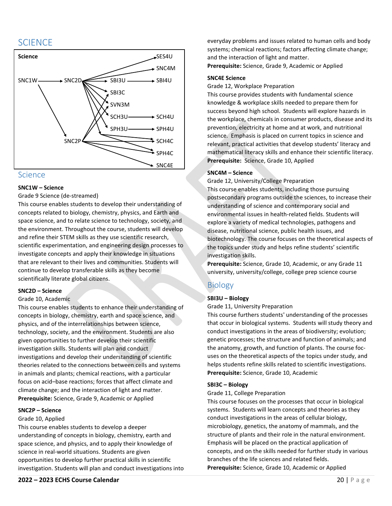# <span id="page-21-0"></span>**SCIENCE**



#### <span id="page-21-1"></span>**Science**

#### **SNC1W – Science**

#### Grade 9 Science (de-streamed)

This course enables students to develop their understanding of concepts related to biology, chemistry, physics, and Earth and space science, and to relate science to technology, society, and the environment. Throughout the course, students will develop and refine their STEM skills as they use scientific research, scientific experimentation, and engineering design processes to investigate concepts and apply their knowledge in situations that are relevant to their lives and communities. Students will continue to develop transferable skills as they become scientifically literate global citizens.

#### **SNC2D – Science**

#### Grade 10, Academic

This course enables students to enhance their understanding of concepts in biology, chemistry, earth and space science, and physics, and of the interrelationships between science, technology, society, and the environment. Students are also given opportunities to further develop their scientific investigation skills. Students will plan and conduct investigations and develop their understanding of scientific theories related to the connections between cells and systems in animals and plants; chemical reactions, with a particular focus on acid–base reactions; forces that affect climate and climate change; and the interaction of light and matter. **Prerequisite:** Science, Grade 9, Academic or Applied

#### **SNC2P – Science**

#### Grade 10, Applied

This course enables students to develop a deeper understanding of concepts in biology, chemistry, earth and space science, and physics, and to apply their knowledge of science in real-world situations. Students are given opportunities to develop further practical skills in scientific investigation. Students will plan and conduct investigations into everyday problems and issues related to human cells and body systems; chemical reactions; factors affecting climate change; and the interaction of light and matter.

**Prerequisite:** Science, Grade 9, Academic or Applied

#### **SNC4E Science**

Grade 12, Workplace Preparation

This course provides students with fundamental science knowledge & workplace skills needed to prepare them for success beyond high school. Students will explore hazards in the workplace, chemicals in consumer products, disease and its prevention, electricity at home and at work, and nutritional science. Emphasis is placed on current topics in science and relevant, practical activities that develop students' literacy and mathematical literacy skills and enhance their scientific literacy. **Prerequisite:** Science, Grade 10, Applied

#### **SNC4M – Science**

Grade 12, University/College Preparation

This course enables students, including those pursuing postsecondary programs outside the sciences, to increase their understanding of science and contemporary social and environmental issues in health-related fields. Students will explore a variety of medical technologies, pathogens and disease, nutritional science, public health issues, and biotechnology. The course focuses on the theoretical aspects of the topics under study and helps refine students' scientific investigation skills.

**Prerequisite:** Science, Grade 10, Academic, or any Grade 11 university, university/college, college prep science course

### <span id="page-21-2"></span>Biology

#### **SBI3U – Biology**

Grade 11, University Preparation

This course furthers students' understanding of the processes that occur in biological systems. Students will study theory and conduct investigations in the areas of biodiversity; evolution; genetic processes; the structure and function of animals; and the anatomy, growth, and function of plants. The course focuses on the theoretical aspects of the topics under study, and helps students refine skills related to scientific investigations. **Prerequisite:** Science, Grade 10, Academic

#### **SBI3C – Biology**

#### Grade 11, College Preparation

This course focuses on the processes that occur in biological systems. Students will learn concepts and theories as they conduct investigations in the areas of cellular biology, microbiology, genetics, the anatomy of mammals, and the structure of plants and their role in the natural environment. Emphasis will be placed on the practical application of concepts, and on the skills needed for further study in various branches of the life sciences and related fields. **Prerequisite:** Science, Grade 10, Academic or Applied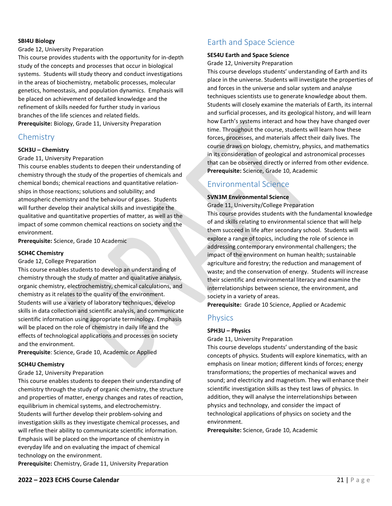#### **SBI4U Biology**

#### Grade 12, University Preparation

This course provides students with the opportunity for in-depth study of the concepts and processes that occur in biological systems. Students will study theory and conduct investigations in the areas of biochemistry, metabolic processes, molecular genetics, homeostasis, and population dynamics. Emphasis will be placed on achievement of detailed knowledge and the refinement of skills needed for further study in various branches of the life sciences and related fields. **Prerequisite:** Biology, Grade 11, University Preparation

### <span id="page-22-0"></span>**Chemistry**

#### **SCH3U – Chemistry**

Grade 11, University Preparation

This course enables students to deepen their understanding of chemistry through the study of the properties of chemicals and chemical bonds; chemical reactions and quantitative relationships in those reactions; solutions and solubility; and atmospheric chemistry and the behaviour of gases. Students will further develop their analytical skills and investigate the qualitative and quantitative properties of matter, as well as the impact of some common chemical reactions on society and the environment.

**Prerequisite:** Science, Grade 10 Academic

#### **SCH4C Chemistry**

#### Grade 12, College Preparation

This course enables students to develop an understanding of chemistry through the study of matter and qualitative analysis, organic chemistry, electrochemistry, chemical calculations, and chemistry as it relates to the quality of the environment. Students will use a variety of laboratory techniques, develop skills in data collection and scientific analysis, and communicate scientific information using appropriate terminology. Emphasis will be placed on the role of chemistry in daily life and the effects of technological applications and processes on society and the environment.

**Prerequisite**: Science, Grade 10, Academic or Applied

#### **SCH4U Chemistry**

#### Grade 12, University Preparation

This course enables students to deepen their understanding of chemistry through the study of organic chemistry, the structure and properties of matter, energy changes and rates of reaction, equilibrium in chemical systems, and electrochemistry. Students will further develop their problem-solving and investigation skills as they investigate chemical processes, and will refine their ability to communicate scientific information. Emphasis will be placed on the importance of chemistry in everyday life and on evaluating the impact of chemical technology on the environment.

**Prerequisite:** Chemistry, Grade 11, University Preparation

# <span id="page-22-1"></span>Earth and Space Science

#### **SES4U Earth and Space Science**

Grade 12, University Preparation

This course develops students' understanding of Earth and its place in the universe. Students will investigate the properties of and forces in the universe and solar system and analyse techniques scientists use to generate knowledge about them. Students will closely examine the materials of Earth, its internal and surficial processes, and its geological history, and will learn how Earth's systems interact and how they have changed over time. Throughout the course, students will learn how these forces, processes, and materials affect their daily lives. The course draws on biology, chemistry, physics, and mathematics in its consideration of geological and astronomical processes that can be observed directly or inferred from other evidence. **Prerequisite:** Science, Grade 10, Academic

# <span id="page-22-2"></span>Environmental Science

#### **SVN3M Environmental Science**

Grade 11, University/College Preparation

This course provides students with the fundamental knowledge of and skills relating to environmental science that will help them succeed in life after secondary school. Students will explore a range of topics, including the role of science in addressing contemporary environmental challengers; the impact of the environment on human health; sustainable agriculture and forestry; the reduction and management of waste; and the conservation of energy. Students will increase their scientific and environmental literacy and examine the interrelationships between science, the environment, and society in a variety of areas.

**Prerequisite:** Grade 10 Science, Applied or Academic

#### <span id="page-22-3"></span>**Physics**

#### **SPH3U – Physics**

Grade 11, University Preparation

This course develops students' understanding of the basic concepts of physics. Students will explore kinematics, with an emphasis on linear motion; different kinds of forces; energy transformations; the properties of mechanical waves and sound; and electricity and magnetism. They will enhance their scientific investigation skills as they test laws of physics. In addition, they will analyse the interrelationships between physics and technology, and consider the impact of technological applications of physics on society and the environment.

**Prerequisite:** Science, Grade 10, Academic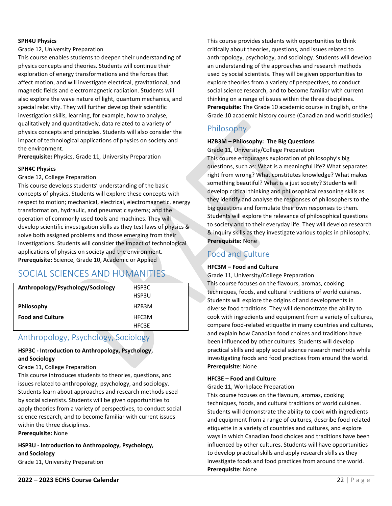#### **SPH4U Physics**

#### Grade 12, University Preparation

This course enables students to deepen their understanding of physics concepts and theories. Students will continue their exploration of energy transformations and the forces that affect motion, and will investigate electrical, gravitational, and magnetic fields and electromagnetic radiation. Students will also explore the wave nature of light, quantum mechanics, and special relativity. They will further develop their scientific investigation skills, learning, for example, how to analyse, qualitatively and quantitatively, data related to a variety of physics concepts and principles. Students will also consider the impact of technological applications of physics on society and the environment.

**Prerequisite:** Physics, Grade 11, University Preparation

#### **SPH4C Physics**

#### Grade 12, College Preparation

This course develops students' understanding of the basic concepts of physics. Students will explore these concepts with respect to motion; mechanical, electrical, electromagnetic, energy transformation, hydraulic, and pneumatic systems; and the operation of commonly used tools and machines. They will develop scientific investigation skills as they test laws of physics & solve both assigned problems and those emerging from their investigations. Students will consider the impact of technological applications of physics on society and the environment. **Prerequisite:** Science, Grade 10, Academic or Applied

# <span id="page-23-0"></span>SOCIAL SCIENCES AND HUMANITIES

| Anthropology/Psychology/Sociology | HSP3C |
|-----------------------------------|-------|
|                                   | HSP3U |
| Philosophy                        | HZB3M |
| <b>Food and Culture</b>           | HFC3M |
|                                   | HFC3E |

# <span id="page-23-1"></span>Anthropology, Psychology, Sociology

#### **HSP3C - Introduction to Anthropology, Psychology, and Sociology**

#### Grade 11, College Preparation

This course introduces students to theories, questions, and issues related to anthropology, psychology, and sociology. Students learn about approaches and research methods used by social scientists. Students will be given opportunities to apply theories from a variety of perspectives, to conduct social science research, and to become familiar with current issues within the three disciplines.

**Prerequisite:** None

**HSP3U - Introduction to Anthropology, Psychology, and Sociology** Grade 11, University Preparation

This course provides students with opportunities to think critically about theories, questions, and issues related to anthropology, psychology, and sociology. Students will develop an understanding of the approaches and research methods used by social scientists. They will be given opportunities to explore theories from a variety of perspectives, to conduct social science research, and to become familiar with current thinking on a range of issues within the three disciplines. **Prerequisite:** The Grade 10 academic course in English, or the Grade 10 academic history course (Canadian and world studies)

# <span id="page-23-2"></span>Philosophy

### **HZB3M – Philosophy: The Big Questions**

Grade 11, University/College Preparation This course encourages exploration of philosophy's big questions, such as: What is a meaningful life? What separates right from wrong? What constitutes knowledge? What makes something beautiful? What is a just society? Students will develop critical thinking and philosophical reasoning skills as they identify and analyse the responses of philosophers to the big questions and formulate their own responses to them. Students will explore the relevance of philosophical questions to society and to their everyday life. They will develop research & inquiry skills as they investigate various topics in philosophy. **Prerequisite:** None

### <span id="page-23-3"></span>Food and Culture

#### **HFC3M – Food and Culture**

Grade 11, University/College Preparation This course focuses on the flavours, aromas, cooking techniques, foods, and cultural traditions of world cuisines. Students will explore the origins of and developments in diverse food traditions. They will demonstrate the ability to cook with ingredients and equipment from a variety of cultures, compare food-related etiquette in many countries and cultures, and explain how Canadian food choices and traditions have been influenced by other cultures. Students will develop practical skills and apply social science research methods while investigating foods and food practices from around the world. **Prerequisite**: None

#### **HFC3E – Food and Culture**

Grade 11, Workplace Preparation

This course focuses on the flavours, aromas, cooking techniques, foods, and cultural traditions of world cuisines. Students will demonstrate the ability to cook with ingredients and equipment from a range of cultures, describe food-related etiquette in a variety of countries and cultures, and explore ways in which Canadian food choices and traditions have been influenced by other cultures. Students will have opportunities to develop practical skills and apply research skills as they investigate foods and food practices from around the world. **Prerequisite**: None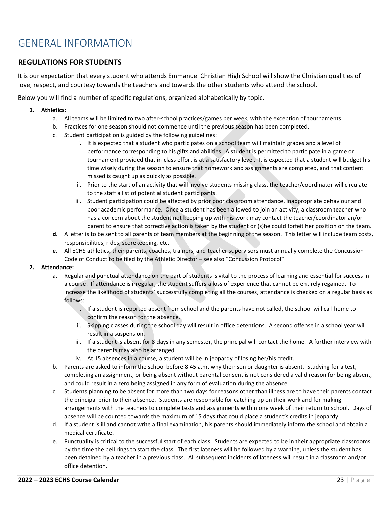# <span id="page-24-0"></span>GENERAL INFORMATION

### **REGULATIONS FOR STUDENTS**

It is our expectation that every student who attends Emmanuel Christian High School will show the Christian qualities of love, respect, and courtesy towards the teachers and towards the other students who attend the school.

Below you will find a number of specific regulations, organized alphabetically by topic.

- **1. Athletics:**
	- a. All teams will be limited to two after-school practices/games per week, with the exception of tournaments.
	- b. Practices for one season should not commence until the previous season has been completed.
	- c. Student participation is guided by the following guidelines:
		- i. It is expected that a student who participates on a school team will maintain grades and a level of performance corresponding to his gifts and abilities. A student is permitted to participate in a game or tournament provided that in-class effort is at a satisfactory level. It is expected that a student will budget his time wisely during the season to ensure that homework and assignments are completed, and that content missed is caught up as quickly as possible.
		- ii. Prior to the start of an activity that will involve students missing class, the teacher/coordinator will circulate to the staff a list of potential student participants.
		- iii. Student participation could be affected by prior poor classroom attendance, inappropriate behaviour and poor academic performance. Once a student has been allowed to join an activity, a classroom teacher who has a concern about the student not keeping up with his work may contact the teacher/coordinator an/or parent to ensure that corrective action is taken by the student or (s)he could forfeit her position on the team.
	- **d.** A letter is to be sent to all parents of team members at the beginning of the season. This letter will include team costs, responsibilities, rides, scorekeeping, etc.
	- **e.** All ECHS athletics, their parents, coaches, trainers, and teacher supervisors must annually complete the Concussion Code of Conduct to be filed by the Athletic Director – see also "Concussion Protocol"

#### **2. Attendance:**

- a. Regular and punctual attendance on the part of students is vital to the process of learning and essential for success in a course. If attendance is irregular, the student suffers a loss of experience that cannot be entirely regained. To increase the likelihood of students' successfully completing all the courses, attendance is checked on a regular basis as follows:
	- i. If a student is reported absent from school and the parents have not called, the school will call home to confirm the reason for the absence.
	- ii. Skipping classes during the school day will result in office detentions. A second offense in a school year will result in a suspension.
	- iii. If a student is absent for 8 days in any semester, the principal will contact the home. A further interview with the parents may also be arranged.
	- iv. At 15 absences in a course, a student will be in jeopardy of losing her/his credit.
- b. Parents are asked to inform the school before 8:45 a.m. why their son or daughter is absent. Studying for a test, completing an assignment, or being absent without parental consent is not considered a valid reason for being absent, and could result in a zero being assigned in any form of evaluation during the absence.
- c. Students planning to be absent for more than two days for reasons other than illness are to have their parents contact the principal prior to their absence. Students are responsible for catching up on their work and for making arrangements with the teachers to complete tests and assignments within one week of their return to school. Days of absence will be counted towards the maximum of 15 days that could place a student's credits in jeopardy.
- d. If a student is ill and cannot write a final examination, his parents should immediately inform the school and obtain a medical certificate.
- e. Punctuality is critical to the successful start of each class. Students are expected to be in their appropriate classrooms by the time the bell rings to start the class. The first lateness will be followed by a warning, unless the student has been detained by a teacher in a previous class. All subsequent incidents of lateness will result in a classroom and/or office detention.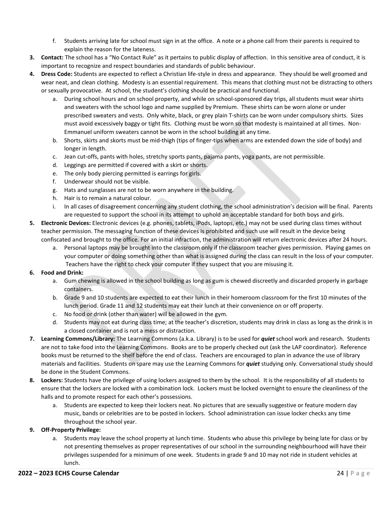- f. Students arriving late for school must sign in at the office. A note or a phone call from their parents is required to explain the reason for the lateness.
- **3. Contact:** The school has a "No Contact Rule" as it pertains to public display of affection. In this sensitive area of conduct, it is important to recognize and respect boundaries and standards of public behaviour.
- **4. Dress Code:** Students are expected to reflect a Christian life-style in dress and appearance. They should be well groomed and wear neat, and clean clothing. Modesty is an essential requirement. This means that clothing must not be distracting to others or sexually provocative. At school, the student's clothing should be practical and functional.
	- a. During school hours and on school property, and while on school-sponsored day trips, all students must wear shirts and sweaters with the school logo and name supplied by Premium. These shirts can be worn alone or under prescribed sweaters and vests. Only white, black, or grey plain T-shirts can be worn under compulsory shirts. Sizes must avoid excessively baggy or tight fits. Clothing must be worn so that modesty is maintained at all times. Non-Emmanuel uniform sweaters cannot be worn in the school building at any time.
	- b. Shorts, skirts and skorts must be mid-thigh (tips of finger-tips when arms are extended down the side of body) and longer in length.
	- c. Jean cut-offs, pants with holes, stretchy sports pants, pajama pants, yoga pants, are not permissible.
	- d. Leggings are permitted if covered with a skirt or shorts.
	- e. The only body piercing permitted is earrings for girls.
	- f. Underwear should not be visible.
	- g. Hats and sunglasses are not to be worn anywhere in the building.
	- h. Hair is to remain a natural colour.
	- i. In all cases of disagreement concerning any student clothing, the school administration's decision will be final. Parents are requested to support the school in its attempt to uphold an acceptable standard for both boys and girls.
- **5. Electronic Devices:** Electronic devices (e.g. phones, tablets, iPods, laptops, etc.) may not be used during class times without teacher permission. The messaging function of these devices is prohibited and such use will result in the device being confiscated and brought to the office. For an initial infraction, the administration will return electronic devices after 24 hours.
	- a. Personal laptops may be brought into the classroom only if the classroom teacher gives permission. Playing games on your computer or doing something other than what is assigned during the class can result in the loss of your computer. Teachers have the right to check your computer if they suspect that you are misusing it.

#### **6. Food and Drink:**

- a. Gum chewing is allowed in the school building as long as gum is chewed discreetly and discarded properly in garbage containers.
- b. Grade 9 and 10 students are expected to eat their lunch in their homeroom classroom for the first 10 minutes of the lunch period. Grade 11 and 12 students may eat their lunch at their convenience on or off property.
- c. No food or drink (other than water) will be allowed in the gym.
- d. Students may not eat during class time; at the teacher's discretion, students may drink in class as long as the drink is in a closed container and is not a mess or distraction.
- **7. Learning Commons/Library:** The Learning Commons (a.k.a. Library) is to be used for *quiet* school work and research. Students are not to take food into the Learning Commons. Books are to be properly checked out (ask the LAP coordinator). Reference books must be returned to the shelf before the end of class. Teachers are encouraged to plan in advance the use of library materials and facilities. Students on spare may use the Learning Commons for *quiet* studying only. Conversational study should be done in the Student Commons.
- **8. Lockers:** Students have the privilege of using lockers assigned to them by the school. It is the responsibility of all students to ensure that the lockers are locked with a combination lock. Lockers must be locked overnight to ensure the cleanliness of the halls and to promote respect for each other's possessions.
	- a. Students are expected to keep their lockers neat. No pictures that are sexually suggestive or feature modern day music, bands or celebrities are to be posted in lockers. School administration can issue locker checks any time throughout the school year.

#### **9. Off-Property Privilege:**

a. Students may leave the school property at lunch time. Students who abuse this privilege by being late for class or by not presenting themselves as proper representatives of our school in the surrounding neighbourhood will have their privileges suspended for a minimum of one week. Students in grade 9 and 10 may not ride in student vehicles at lunch.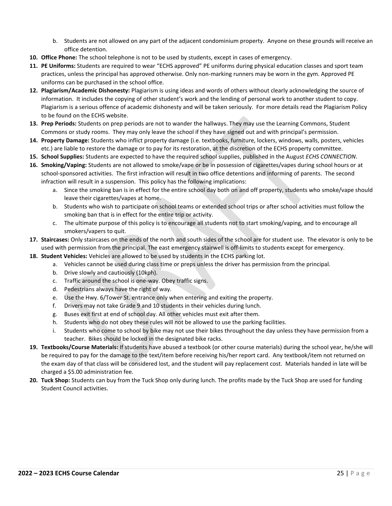- b. Students are not allowed on any part of the adjacent condominium property. Anyone on these grounds will receive an office detention.
- **10. Office Phone:** The school telephone is not to be used by students, except in cases of emergency.
- **11. PE Uniforms:** Students are required to wear "ECHS approved" PE uniforms during physical education classes and sport team practices, unless the principal has approved otherwise. Only non-marking runners may be worn in the gym. Approved PE uniforms can be purchased in the school office.
- **12. Plagiarism/Academic Dishonesty:** Plagiarism is using ideas and words of others without clearly acknowledging the source of information. It includes the copying of other student's work and the lending of personal work to another student to copy. Plagiarism is a serious offence of academic dishonesty and will be taken seriously. For more details read the Plagiarism Policy to be found on the ECHS website.
- **13. Prep Periods:** Students on prep periods are not to wander the hallways. They may use the Learning Commons, Student Commons or study rooms. They may only leave the school if they have signed out and with principal's permission.
- **14. Property Damage:** Students who inflict property damage (i.e. textbooks, furniture, lockers, windows, walls, posters, vehicles etc.) are liable to restore the damage or to pay for its restoration, at the discretion of the ECHS property committee.
- **15. School Supplies:** Students are expected to have the required school supplies, published in the August *ECHS CONNECTION*.
- **16. Smoking/Vaping:** Students are not allowed to smoke/vape or be in possession of cigarettes/vapes during school hours or at school-sponsored activities. The first infraction will result in two office detentions and informing of parents. The second infraction will result in a suspension. This policy has the following implications:
	- a. Since the smoking ban is in effect for the entire school day both on and off property, students who smoke/vape should leave their cigarettes/vapes at home.
	- b. Students who wish to participate on school teams or extended school trips or after school activities must follow the smoking ban that is in effect for the entire trip or activity.
	- c. The ultimate purpose of this policy is to encourage all students not to start smoking/vaping, and to encourage all smokers/vapers to quit.
- **17. Staircases:** Only staircases on the ends of the north and south sides of the school are for student use. The elevator is only to be used with permission from the principal. The east emergency stairwell is off-limits to students except for emergency.
- **18. Student Vehicles:** Vehicles are allowed to be used by students in the ECHS parking lot.
	- a. Vehicles cannot be used during class time or preps unless the driver has permission from the principal.
	- b. Drive slowly and cautiously (10kph).
	- c. Traffic around the school is one-way. Obey traffic signs.
	- d. Pedestrians always have the right of way.
	- e. Use the Hwy. 6/Tower St. entrance only when entering and exiting the property.
	- f. Drivers may not take Grade 9 and 10 students in their vehicles during lunch.
	- g. Buses exit first at end of school day. All other vehicles must exit after them.
	- h. Students who do not obey these rules will not be allowed to use the parking facilities.
	- Students who come to school by bike may not use their bikes throughout the day unless they have permission from a teacher. Bikes should be locked in the designated bike racks.
- **19. Textbooks/Course Materials:** If students have abused a textbook (or other course materials) during the school year, he/she will be required to pay for the damage to the text/item before receiving his/her report card. Any textbook/item not returned on the exam day of that class will be considered lost, and the student will pay replacement cost. Materials handed in late will be charged a \$5.00 administration fee.
- **20. Tuck Shop:** Students can buy from the Tuck Shop only during lunch. The profits made by the Tuck Shop are used for funding Student Council activities.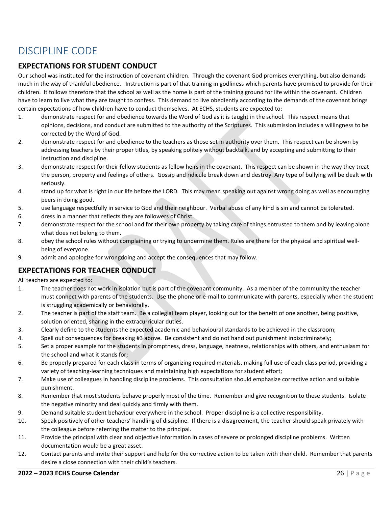# <span id="page-27-0"></span>DISCIPLINE CODE

### **EXPECTATIONS FOR STUDENT CONDUCT**

Our school was instituted for the instruction of covenant children. Through the covenant God promises everything, but also demands much in the way of thankful obedience. Instruction is part of that training in godliness which parents have promised to provide for their children. It follows therefore that the school as well as the home is part of the training ground for life within the covenant. Children have to learn to live what they are taught to confess. This demand to live obediently according to the demands of the covenant brings certain expectations of how children have to conduct themselves. At ECHS, students are expected to:

- 1. demonstrate respect for and obedience towards the Word of God as it is taught in the school. This respect means that opinions, decisions, and conduct are submitted to the authority of the Scriptures. This submission includes a willingness to be corrected by the Word of God.
- 2. demonstrate respect for and obedience to the teachers as those set in authority over them. This respect can be shown by addressing teachers by their proper titles, by speaking politely without backtalk, and by accepting and submitting to their instruction and discipline.
- 3. demonstrate respect for their fellow students as fellow heirs in the covenant. This respect can be shown in the way they treat the person, property and feelings of others. Gossip and ridicule break down and destroy. Any type of bullying will be dealt with seriously.
- 4. stand up for what is right in our life before the LORD. This may mean speaking out against wrong doing as well as encouraging peers in doing good.
- 5. use language respectfully in service to God and their neighbour. Verbal abuse of any kind is sin and cannot be tolerated.
- 6. dress in a manner that reflects they are followers of Christ.
- 7. demonstrate respect for the school and for their own property by taking care of things entrusted to them and by leaving alone what does not belong to them.
- 8. obey the school rules without complaining or trying to undermine them. Rules are there for the physical and spiritual wellbeing of everyone.
- 9. admit and apologize for wrongdoing and accept the consequences that may follow.

### **EXPECTATIONS FOR TEACHER CONDUCT**

All teachers are expected to:

- 1. The teacher does not work in isolation but is part of the covenant community. As a member of the community the teacher must connect with parents of the students. Use the phone or e-mail to communicate with parents, especially when the student is struggling academically or behaviorally.
- 2. The teacher is part of the staff team. Be a collegial team player, looking out for the benefit of one another, being positive, solution oriented, sharing in the extracurricular duties.
- 3. Clearly define to the students the expected academic and behavioural standards to be achieved in the classroom;
- 4. Spell out consequences for breaking #3 above. Be consistent and do not hand out punishment indiscriminately;
- 5. Set a proper example for the students in promptness, dress, language, neatness, relationships with others, and enthusiasm for the school and what it stands for;
- 6. Be properly prepared for each class in terms of organizing required materials, making full use of each class period, providing a variety of teaching-learning techniques and maintaining high expectations for student effort;
- 7. Make use of colleagues in handling discipline problems. This consultation should emphasize corrective action and suitable punishment.
- 8. Remember that most students behave properly most of the time. Remember and give recognition to these students. Isolate the negative minority and deal quickly and firmly with them.
- 9. Demand suitable student behaviour everywhere in the school. Proper discipline is a collective responsibility.
- 10. Speak positively of other teachers' handling of discipline. If there is a disagreement, the teacher should speak privately with the colleague before referring the matter to the principal.
- 11. Provide the principal with clear and objective information in cases of severe or prolonged discipline problems. Written documentation would be a great asset.
- 12. Contact parents and invite their support and help for the corrective action to be taken with their child. Remember that parents desire a close connection with their child's teachers.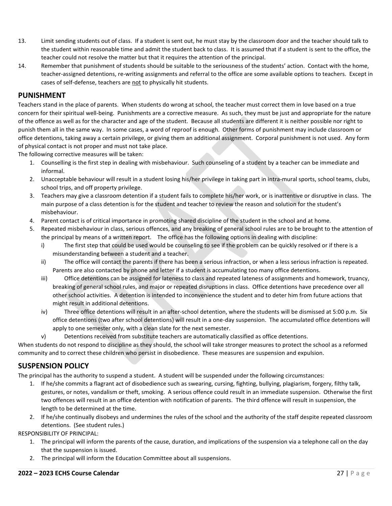- 13. Limit sending students out of class. If a student is sent out, he must stay by the classroom door and the teacher should talk to the student within reasonable time and admit the student back to class. It is assumed that if a student is sent to the office, the teacher could not resolve the matter but that it requires the attention of the principal.
- 14. Remember that punishment of students should be suitable to the seriousness of the students' action. Contact with the home, teacher-assigned detentions, re-writing assignments and referral to the office are some available options to teachers. Except in cases of self-defense, teachers are not to physically hit students.

### **PUNISHMENT**

Teachers stand in the place of parents. When students do wrong at school, the teacher must correct them in love based on a true concern for their spiritual well-being. Punishments are a corrective measure. As such, they must be just and appropriate for the nature of the offence as well as for the character and age of the student. Because all students are different it is neither possible nor right to punish them all in the same way. In some cases, a word of reproof is enough. Other forms of punishment may include classroom or office detentions, taking away a certain privilege, or giving them an additional assignment. Corporal punishment is not used. Any form of physical contact is not proper and must not take place.

The following corrective measures will be taken:

- 1. Counselling is the first step in dealing with misbehaviour. Such counseling of a student by a teacher can be immediate and informal.
- 2. Unacceptable behaviour will result in a student losing his/her privilege in taking part in intra-mural sports, school teams, clubs, school trips, and off property privilege.
- 3. Teachers may give a classroom detention if a student fails to complete his/her work, or is inattentive or disruptive in class. The main purpose of a class detention is for the student and teacher to review the reason and solution for the student's misbehaviour.
- 4. Parent contact is of critical importance in promoting shared discipline of the student in the school and at home.
- 5. Repeated misbehaviour in class, serious offences, and any breaking of general school rules are to be brought to the attention of the principal by means of a written report. The office has the following options in dealing with discipline:
	- i) The first step that could be used would be counseling to see if the problem can be quickly resolved or if there is a misunderstanding between a student and a teacher.
	- ii) The office will contact the parents if there has been a serious infraction, or when a less serious infraction is repeated. Parents are also contacted by phone and letter if a student is accumulating too many office detentions.
	- iii) Office detentions can be assigned for lateness to class and repeated lateness of assignments and homework, truancy, breaking of general school rules, and major or repeated disruptions in class. Office detentions have precedence over all other school activities. A detention is intended to inconvenience the student and to deter him from future actions that might result in additional detentions.
	- iv) Three office detentions will result in an after-school detention, where the students will be dismissed at 5:00 p.m. Six office detentions (two after school detentions) will result in a one-day suspension. The accumulated office detentions will apply to one semester only, with a clean slate for the next semester.
	- v) Detentions received from substitute teachers are automatically classified as office detentions.

When students do not respond to discipline as they should, the school will take stronger measures to protect the school as a reformed community and to correct these children who persist in disobedience. These measures are suspension and expulsion.

### **SUSPENSION POLICY**

The principal has the authority to suspend a student. A student will be suspended under the following circumstances:

- 1. If he/she commits a flagrant act of disobedience such as swearing, cursing, fighting, bullying, plagiarism, forgery, filthy talk, gestures, or notes, vandalism or theft, smoking. A serious offence could result in an immediate suspension. Otherwise the first two offences will result in an office detention with notification of parents. The third offence will result in suspension, the length to be determined at the time.
- 2. If he/she continually disobeys and undermines the rules of the school and the authority of the staff despite repeated classroom detentions. (See student rules.)

RESPONSIBILITY OF PRINCIPAL:

- 1. The principal will inform the parents of the cause, duration, and implications of the suspension via a telephone call on the day that the suspension is issued.
- 2. The principal will inform the Education Committee about all suspensions.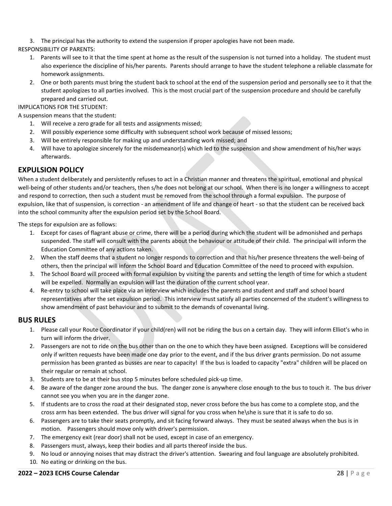3. The principal has the authority to extend the suspension if proper apologies have not been made.

RESPONSIBILITY OF PARENTS:

- 1. Parents will see to it that the time spent at home as the result of the suspension is not turned into a holiday. The student must also experience the discipline of his/her parents. Parents should arrange to have the student telephone a reliable classmate for homework assignments.
- 2. One or both parents must bring the student back to school at the end of the suspension period and personally see to it that the student apologizes to all parties involved. This is the most crucial part of the suspension procedure and should be carefully prepared and carried out.

#### IMPLICATIONS FOR THE STUDENT:

A suspension means that the student:

- 1. Will receive a zero grade for all tests and assignments missed;
- 2. Will possibly experience some difficulty with subsequent school work because of missed lessons;
- 3. Will be entirely responsible for making up and understanding work missed; and
- 4. Will have to apologize sincerely for the misdemeanor(s) which led to the suspension and show amendment of his/her ways afterwards.

### **EXPULSION POLICY**

When a student deliberately and persistently refuses to act in a Christian manner and threatens the spiritual, emotional and physical well-being of other students and/or teachers, then s/he does not belong at our school. When there is no longer a willingness to accept and respond to correction, then such a student must be removed from the school through a formal expulsion. The purpose of expulsion, like that of suspension, is correction - an amendment of life and change of heart - so that the student can be received back into the school community after the expulsion period set by the School Board.

The steps for expulsion are as follows:

- 1. Except for cases of flagrant abuse or crime, there will be a period during which the student will be admonished and perhaps suspended. The staff will consult with the parents about the behaviour or attitude of their child. The principal will inform the Education Committee of any actions taken.
- 2. When the staff deems that a student no longer responds to correction and that his/her presence threatens the well-being of others, then the principal will inform the School Board and Education Committee of the need to proceed with expulsion.
- 3. The School Board will proceed with formal expulsion by visiting the parents and setting the length of time for which a student will be expelled. Normally an expulsion will last the duration of the current school year.
- 4. Re-entry to school will take place via an interview which includes the parents and student and staff and school board representatives after the set expulsion period. This interview must satisfy all parties concerned of the student's willingness to show amendment of past behaviour and to submit to the demands of covenantal living.

### **BUS RULES**

- 1. Please call your Route Coordinator if your child(ren) will not be riding the bus on a certain day. They will inform Elliot's who in turn will inform the driver.
- 2. Passengers are not to ride on the bus other than on the one to which they have been assigned. Exceptions will be considered only if written requests have been made one day prior to the event, and if the bus driver grants permission. Do not assume permission has been granted as busses are near to capacity! If the bus is loaded to capacity "extra" children will be placed on their regular or remain at school.
- 3. Students are to be at their bus stop 5 minutes before scheduled pick-up time.
- 4. Be aware of the danger zone around the bus. The danger zone is anywhere close enough to the bus to touch it. The bus driver cannot see you when you are in the danger zone.
- 5. If students are to cross the road at their designated stop, never cross before the bus has come to a complete stop, and the cross arm has been extended. The bus driver will signal for you cross when he\she is sure that it is safe to do so.
- 6. Passengers are to take their seats promptly, and sit facing forward always. They must be seated always when the bus is in motion. Passengers should move only with driver's permission.
- 7. The emergency exit (rear door) shall not be used, except in case of an emergency.
- 8. Passengers must, always, keep their bodies and all parts thereof inside the bus.
- 9. No loud or annoying noises that may distract the driver's attention. Swearing and foul language are absolutely prohibited.
- 10. No eating or drinking on the bus.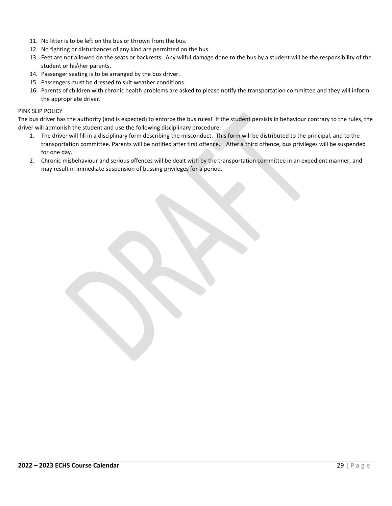- 11. No litter is to be left on the bus or thrown from the bus.
- 12. No fighting or disturbances of any kind are permitted on the bus.
- 13. Feet are not allowed on the seats or backrests. Any wilful damage done to the bus by a student will be the responsibility of the student or his\her parents.
- 14. Passenger seating is to be arranged by the bus driver.
- 15. Passengers must be dressed to suit weather conditions.
- 16. Parents of children with chronic health problems are asked to please notify the transportation committee and they will inform the appropriate driver.

#### PINK SLIP POLICY

The bus driver has the authority (and is expected) to enforce the bus rules! If the student persists in behaviour contrary to the rules, the driver will admonish the student and use the following disciplinary procedure:

- 1. The driver will fill in a disciplinary form describing the misconduct. This form will be distributed to the principal, and to the transportation committee. Parents will be notified after first offence. After a third offence, bus privileges will be suspended for one day.
- 2. Chronic misbehaviour and serious offences will be dealt with by the transportation committee in an expedient manner, and may result in immediate suspension of bussing privileges for a period.

**2022 – 2023 ECHS Course Calendar** 29 | P a g e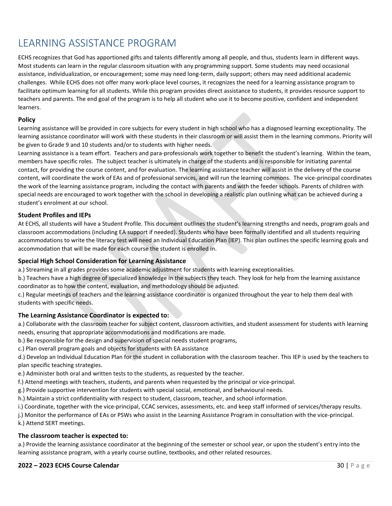# <span id="page-31-0"></span>LEARNING ASSISTANCE PROGRAM

ECHS recognizes that God has apportioned gifts and talents differently among all people, and thus, students learn in different ways. Most students can learn in the regular classroom situation with any programming support. Some students may need occasional assistance, individualization, or encouragement; some may need long-term, daily support; others may need additional academic challenges. While ECHS does not offer many work-place level courses, it recognizes the need for a learning assistance program to facilitate optimum learning for all students. While this program provides direct assistance to students, it provides resource support to teachers and parents. The end goal of the program is to help all student who use it to become positive, confident and independent learners.

#### **Policy**

Learning assistance will be provided in core subjects for every student in high school who has a diagnosed learning exceptionality. The learning assistance coordinator will work with these students in their classroom or will assist them in the learning commons. Priority will be given to Grade 9 and 10 students and/or to students with higher needs.

Learning assistance is a team effort. Teachers and para-professionals work together to benefit the student's learning. Within the team, members have specific roles. The subject teacher is ultimately in charge of the students and is responsible for initiating parental contact, for providing the course content, and for evaluation. The learning assistance teacher will assist in the delivery of the course content, will coordinate the work of EAs and of professional services, and will run the learning commons. The vice-principal coordinates the work of the learning assistance program, including the contact with parents and with the feeder schools. Parents of children with special needs are encouraged to work together with the school in developing a realistic plan outlining what can be achieved during a student's enrolment at our school.

#### **Student Profiles and IEPs**

At ECHS, all students will have a Student Profile. This document outlines the student's learning strengths and needs, program goals and classroom accommodations (including EA support if needed). Students who have been formally identified and all students requiring accommodations to write the literacy test will need an Individual Education Plan (IEP). This plan outlines the specific learning goals and accommodation that will be made for each course the student is enrolled in.

#### **Special High School Consideration for Learning Assistance**

a.) Streaming in all grades provides some academic adjustment for students with learning exceptionalities.

b.) Teachers have a high degree of specialized knowledge in the subjects they teach. They look for help from the learning assistance coordinator as to how the content, evaluation, and methodology should be adjusted.

c.) Regular meetings of teachers and the learning assistance coordinator is organized throughout the year to help them deal with students with specific needs.

#### **The Learning Assistance Coordinator is expected to:**

a.) Collaborate with the classroom teacher for subject content, classroom activities, and student assessment for students with learning needs, ensuring that appropriate accommodations and modifications are made.

b.) Be responsible for the design and supervision of special needs student programs,

c.) Plan overall program goals and objects for students with EA assistance

d.) Develop an Individual Education Plan for the student in collaboration with the classroom teacher. This IEP is used by the teachers to plan specific teaching strategies.

e.) Administer both oral and written tests to the students, as requested by the teacher.

f.) Attend meetings with teachers, students, and parents when requested by the principal or vice-principal.

g.) Provide supportive intervention for students with special social, emotional, and behavioural needs.

h.) Maintain a strict confidentiality with respect to student, classroom, teacher, and school information.

i.) Coordinate, together with the vice-principal, CCAC services, assessments, etc. and keep staff informed of services/therapy results.

j.) Monitor the performance of EAs or PSWs who assist in the Learning Assistance Program in consultation with the vice-principal.

k.) Attend SERT meetings.

#### **The classroom teacher is expected to:**

a.) Provide the learning assistance coordinator at the beginning of the semester or school year, or upon the student's entry into the learning assistance program, with a yearly course outline, textbooks, and other related resources.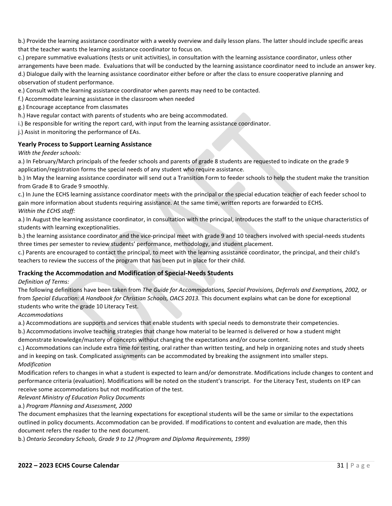b.) Provide the learning assistance coordinator with a weekly overview and daily lesson plans. The latter should include specific areas that the teacher wants the learning assistance coordinator to focus on.

c.) prepare summative evaluations (tests or unit activities), in consultation with the learning assistance coordinator, unless other arrangements have been made. Evaluations that will be conducted by the learning assistance coordinator need to include an answer key. d.) Dialogue daily with the learning assistance coordinator either before or after the class to ensure cooperative planning and observation of student performance.

e.) Consult with the learning assistance coordinator when parents may need to be contacted.

f.) Accommodate learning assistance in the classroom when needed

g.) Encourage acceptance from classmates

h.) Have regular contact with parents of students who are being accommodated.

i.) Be responsible for writing the report card, with input from the learning assistance coordinator.

j.) Assist in monitoring the performance of EAs.

#### **Yearly Process to Support Learning Assistance**

*With the feeder schools:*

a.) In February/March principals of the feeder schools and parents of grade 8 students are requested to indicate on the grade 9 application/registration forms the special needs of any student who require assistance.

b.) In May the learning assistance coordinator will send out a Transition Form to feeder schools to help the student make the transition from Grade 8 to Grade 9 smoothly.

c.) In June the ECHS learning assistance coordinator meets with the principal or the special education teacher of each feeder school to gain more information about students requiring assistance. At the same time, written reports are forwarded to ECHS. *Within the ECHS staff:*

a.) In August the learning assistance coordinator, in consultation with the principal, introduces the staff to the unique characteristics of students with learning exceptionalities.

b.) the learning assistance coordinator and the vice-principal meet with grade 9 and 10 teachers involved with special-needs students three times per semester to review students' performance, methodology, and student placement.

c.) Parents are encouraged to contact the principal, to meet with the learning assistance coordinator, the principal, and their child's teachers to review the success of the program that has been put in place for their child.

#### **Tracking the Accommodation and Modification of Special-Needs Students**

*Definition of Terms:*

The following definitions have been taken from *The Guide for Accommodations, Special Provisions, Deferrals and Exemptions, 2002,* or from Special Education: A Handbook for Christian Schools, OACS 2013. This document explains what can be done for exceptional students who write the grade 10 Literacy Test.

*Accommodations*

a.) Accommodations are supports and services that enable students with special needs to demonstrate their competencies.

b.) Accommodations involve teaching strategies that change how material to be learned is delivered or how a student might demonstrate knowledge/mastery of concepts without changing the expectations and/or course content.

c.) Accommodations can include extra time for testing, oral rather than written testing, and help in organizing notes and study sheets and in keeping on task. Complicated assignments can be accommodated by breaking the assignment into smaller steps. *Modification*

Modification refers to changes in what a student is expected to learn and/or demonstrate. Modifications include changes to content and performance criteria (evaluation). Modifications will be noted on the student's transcript. For the Literacy Test, students on IEP can receive some accommodations but not modification of the test.

*Relevant Ministry of Education Policy Documents*

a.) *Program Planning and Assessment, 2000*

The document emphasizes that the learning expectations for exceptional students will be the same or similar to the expectations outlined in policy documents. Accommodation can be provided. If modifications to content and evaluation are made, then this document refers the reader to the next document.

b.) *Ontario Secondary Schools, Grade 9 to 12 (Program and Diploma Requirements, 1999)*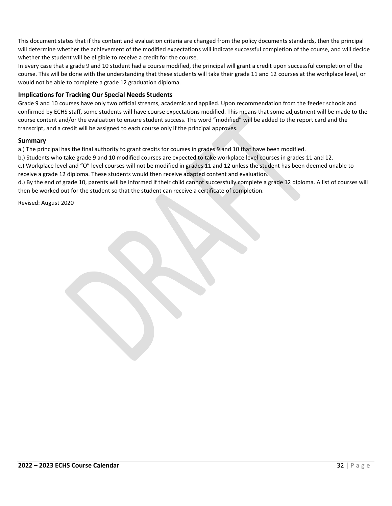This document states that if the content and evaluation criteria are changed from the policy documents standards, then the principal will determine whether the achievement of the modified expectations will indicate successful completion of the course, and will decide whether the student will be eligible to receive a credit for the course.

In every case that a grade 9 and 10 student had a course modified, the principal will grant a credit upon successful completion of the course. This will be done with the understanding that these students will take their grade 11 and 12 courses at the workplace level, or would not be able to complete a grade 12 graduation diploma.

#### **Implications for Tracking Our Special Needs Students**

Grade 9 and 10 courses have only two official streams, academic and applied. Upon recommendation from the feeder schools and confirmed by ECHS staff, some students will have course expectations modified. This means that some adjustment will be made to the course content and/or the evaluation to ensure student success. The word "modified" will be added to the report card and the transcript, and a credit will be assigned to each course only if the principal approves.

#### **Summary**

a.) The principal has the final authority to grant credits for courses in grades 9 and 10 that have been modified.

b.) Students who take grade 9 and 10 modified courses are expected to take workplace level courses in grades 11 and 12.

c.) Workplace level and "O" level courses will not be modified in grades 11 and 12 unless the student has been deemed unable to receive a grade 12 diploma. These students would then receive adapted content and evaluation.

d.) By the end of grade 10, parents will be informed if their child cannot successfully complete a grade 12 diploma. A list of courses will then be worked out for the student so that the student can receive a certificate of completion.

Revised: August 2020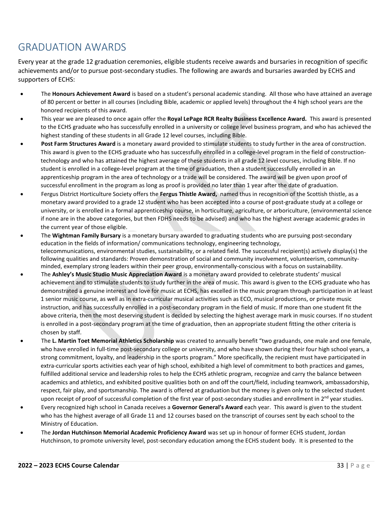# <span id="page-34-0"></span>GRADUATION AWARDS

Every year at the grade 12 graduation ceremonies, eligible students receive awards and bursaries in recognition of specific achievements and/or to pursue post-secondary studies. The following are awards and bursaries awarded by ECHS and supporters of ECHS:

- The **Honours Achievement Award** is based on a student's personal academic standing. All those who have attained an average of 80 percent or better in all courses (including Bible, academic or applied levels) throughout the 4 high school years are the honored recipients of this award.
- This year we are pleased to once again offer the **Royal LePage RCR Realty Business Excellence Award.** This award is presented to the ECHS graduate who has successfully enrolled in a university or college level business program, and who has achieved the highest standing of these students in all Grade 12 level courses, including Bible.
- **Post Farm Structures Award** is a monetary award provided to stimulate students to study further in the area of construction. This award is given to the ECHS graduate who has successfully enrolled in a college-level program in the field of constructiontechnology and who has attained the highest average of these students in all grade 12 level courses, including Bible. If no student is enrolled in a college-level program at the time of graduation, then a student successfully enrolled in an apprenticeship program in the area of technology or a trade will be considered. The award will be given upon proof of successful enrollment in the program as long as proof is provided no later than 1 year after the date of graduation.
- Fergus District Horticulture Society offers the **Fergus Thistle Award,** named thus in recognition of the Scottish thistle, as a monetary award provided to a grade 12 student who has been accepted into a course of post-graduate study at a college or university, or is enrolled in a formal apprenticeship course, in horticulture, agriculture, or arboriculture, (environmental science if none are in the above categories, but then FDHS needs to be advised) and who has the highest average academic grades in the current year of those eligible.
- The **Wightman Family Bursary** is a monetary bursary awarded to graduating students who are pursuing post-secondary education in the fields of information/ communications technology, engineering technology, telecommunications, environmental studies, sustainability, or a related field. The successful recipient(s) actively display(s) the following qualities and standards: Proven demonstration of social and community involvement, volunteerism, communityminded, exemplary strong leaders within their peer group, environmentally-conscious with a focus on sustainability.
- The **Ashley's Music Studio Music Appreciation Award** is a monetary award provided to celebrate students' musical achievement and to stimulate students to study further in the area of music. This award is given to the ECHS graduate who has demonstrated a genuine interest and love for music at ECHS, has excelled in the music program through participation in at least 1 senior music course, as well as in extra-curricular musical activities such as ECO, musical productions, or private music instruction, and has successfully enrolled in a post-secondary program in the field of music. If more than one student fit the above criteria, then the most deserving student is decided by selecting the highest average mark in music courses. If no student is enrolled in a post-secondary program at the time of graduation, then an appropriate student fitting the other criteria is chosen by staff.
- The **L. Martin Toet Memorial Athletics Scholarship** was created to annually benefit "two graduands, one male and one female, who have enrolled in full-time post-secondary college or university, and who have shown during their four high school years, a strong commitment, loyalty, and leadership in the sports program." More specifically, the recipient must have participated in extra-curricular sports activities each year of high school, exhibited a high level of commitment to both practices and games, fulfilled additional service and leadership roles to help the ECHS athletic program, recognize and carry the balance between academics and athletics, and exhibited positive qualities both on and off the court/field, including teamwork, ambassadorship, respect, fair play, and sportsmanship. The award is offered at graduation but the money is given only to the selected student upon receipt of proof of successful completion of the first year of post-secondary studies and enrollment in  $2^{nd}$  year studies.
- Every recognized high school in Canada receives a **Governor General's Award** each year. This award is given to the student who has the highest average of all Grade 11 and 12 courses based on the transcript of courses sent by each school to the Ministry of Education.
- The **Jordan Hutchinson Memorial Academic Proficiency Award** was set up in honour of former ECHS student, Jordan Hutchinson, to promote university level, post-secondary education among the ECHS student body. It is presented to the